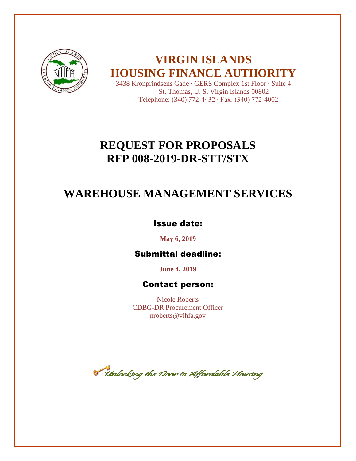

# **VIRGIN ISLANDS HOUSING FINANCE AUTHORITY**

3438 Kronprindsens Gade ∙ GERS Complex 1st Floor ∙ Suite 4 St. Thomas, U. S. Virgin Islands 00802 Telephone: (340) 772-4432 ∙ Fax: (340) 772-4002

# **REQUEST FOR PROPOSALS RFP 008-2019-DR-STT/STX**

# **WAREHOUSE MANAGEMENT SERVICES**

## Issue date:

**May 6, 2019** 

# Submittal deadline:

**June 4, 2019** 

### Contact person:

Nicole Roberts CDBG-DR Procurement Officer nroberts@vihfa.gov

Tholocking the Door to Affordable Housing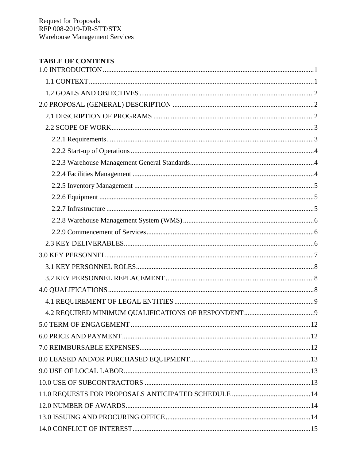### **TABLE OF CONTENTS**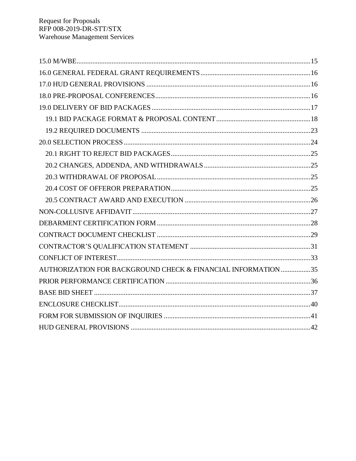| AUTHORIZATION FOR BACKGROUND CHECK & FINANCIAL INFORMATION 35 |
|---------------------------------------------------------------|
|                                                               |
|                                                               |
|                                                               |
|                                                               |
|                                                               |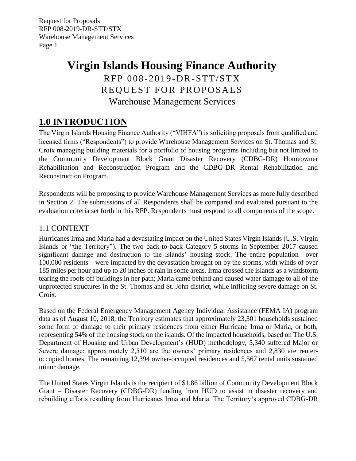# **Virgin Islands Housing Finance Authority**

# RFP 008-2019-DR-STT/STX REQUEST FOR PROPOSALS Warehouse Management Services

# <span id="page-3-0"></span>**1.0 INTRODUCTION**

The Virgin Islands Housing Finance Authority ("VIHFA") is soliciting proposals from qualified and licensed firms ("Respondents") to provide Warehouse Management Services on St. Thomas and St. Croix managing building materials for a portfolio of housing programs including but not limited to the Community Development Block Grant Disaster Recovery (CDBG-DR) Homeowner Rehabilitation and Reconstruction Program and the CDBG-DR Rental Rehabilitation and Reconstruction Program.

Respondents will be proposing to provide Warehouse Management Services as more fully described in Section 2. The submissions of all Respondents shall be compared and evaluated pursuant to the evaluation criteria set forth in this RFP. Respondents must respond to all components of the scope.

### <span id="page-3-1"></span>1.1 CONTEXT

Hurricanes Irma and Maria had a devastating impact on the United States Virgin Islands (U.S. Virgin Islands or "the Territory"). The two back-to-back Category 5 storms in September 2017 caused significant damage and destruction to the islands' housing stock. The entire population—over 100,000 residents—were impacted by the devastation brought on by the storms, with winds of over 185 miles per hour and up to 20 inches of rain in some areas. Irma crossed the islands as a windstorm tearing the roofs off buildings in her path; Maria came behind and caused water damage to all of the unprotected structures in the St. Thomas and St. John district, while inflicting severe damage on St. Croix.

Based on the Federal Emergency Management Agency Individual Assistance (FEMA IA) program data as of August 10, 2018, the Territory estimates that approximately 23,301 households sustained some form of damage to their primary residences from either Hurricane Irma or Maria, or both, representing 54% of the housing stock on the islands. Of the impacted households, based on The U.S. Department of Housing and Urban Development's (HUD) methodology, 5,340 suffered Major or Severe damage; approximately 2,510 are the owners' primary residences and 2,830 are renteroccupied homes. The remaining 12,394 owner-occupied residences and 5,567 rental units sustained minor damage.

The United States Virgin Islands is the recipient of \$1.86 billion of Community Development Block Grant – Disaster Recovery (CDBG-DR) funding from HUD to assist in disaster recovery and rebuilding efforts resulting from Hurricanes Irma and Maria. The Territory's approved CDBG-DR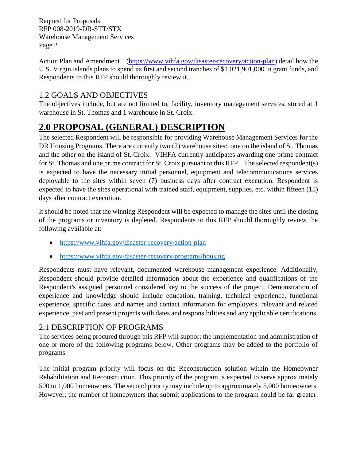Action Plan and Amendment 1 [\(https://www.vihfa.gov/disaster-recovery/action-plan\)](https://www.vihfa.gov/disaster-recovery/action-plan) detail how the U.S. Virgin Islands plans to spend its first and second tranches of \$1,021,901,000 in grant funds, and Respondents to this RFP should thoroughly review it.

### <span id="page-4-0"></span>1.2 GOALS AND OBJECTIVES

The objectives include, but are not limited to, facility, inventory management services, stored at 1 warehouse in St. Thomas and 1 warehouse in St. Croix.

# <span id="page-4-1"></span>**2.0 PROPOSAL (GENERAL) DESCRIPTION**

The selected Respondent will be responsible for providing Warehouse Management Services for the DR Housing Programs. There are currently two (2) warehouse sites: one on the island of St. Thomas and the other on the island of St. Croix. VIHFA currently anticipates awarding one prime contract for St. Thomas and one prime contract for St. Croix pursuant to this RFP. The selected respondent(s) is expected to have the necessary initial personnel, equipment and telecommunications services deployable to the sites within seven (7) business days after contract execution. Respondent is expected to have the sites operational with trained staff, equipment, supplies, etc. within fifteen (15) days after contract execution.

It should be noted that the winning Respondent will be expected to manage the sites until the closing of the programs or inventory is depleted. Respondents to this RFP should thoroughly review the following available at:

- <https://www.vihfa.gov/disaster-recovery/action-plan>
- <https://www.vihfa.gov/disaster-recovery/programs/housing>

Respondents must have relevant, documented warehouse management experience. Additionally, Respondent should provide detailed information about the experience and qualifications of the Respondent's assigned personnel considered key to the success of the project. Demonstration of experience and knowledge should include education, training, technical experience, functional experience, specific dates and names and contact information for employers, relevant and related experience, past and present projects with dates and responsibilities and any applicable certifications.

### <span id="page-4-2"></span>2.1 DESCRIPTION OF PROGRAMS

The services being procured through this RFP will support the implementation and administration of one or more of the following programs below. Other programs may be added to the portfolio of programs.

The initial program priority will focus on the Reconstruction solution within the Homeowner Rehabilitation and Reconstruction. This priority of the program is expected to serve approximately 500 to 1,000 homeowners. The second priority may include up to approximately 5,000 homeowners. However, the number of homeowners that submit applications to the program could be far greater.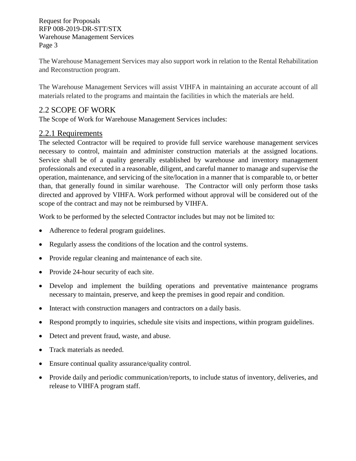The Warehouse Management Services may also support work in relation to the Rental Rehabilitation and Reconstruction program.

The Warehouse Management Services will assist VIHFA in maintaining an accurate account of all materials related to the programs and maintain the facilities in which the materials are held.

### <span id="page-5-0"></span>2.2 SCOPE OF WORK

The Scope of Work for Warehouse Management Services includes:

### <span id="page-5-1"></span>2.2.1 Requirements

The selected Contractor will be required to provide full service warehouse management services necessary to control, maintain and administer construction materials at the assigned locations. Service shall be of a quality generally established by warehouse and inventory management professionals and executed in a reasonable, diligent, and careful manner to manage and supervise the operation, maintenance, and servicing of the site/location in a manner that is comparable to, or better than, that generally found in similar warehouse. The Contractor will only perform those tasks directed and approved by VIHFA. Work performed without approval will be considered out of the scope of the contract and may not be reimbursed by VIHFA.

Work to be performed by the selected Contractor includes but may not be limited to:

- Adherence to federal program guidelines.
- Regularly assess the conditions of the location and the control systems.
- Provide regular cleaning and maintenance of each site.
- Provide 24-hour security of each site.
- Develop and implement the building operations and preventative maintenance programs necessary to maintain, preserve, and keep the premises in good repair and condition.
- Interact with construction managers and contractors on a daily basis.
- Respond promptly to inquiries, schedule site visits and inspections, within program guidelines.
- Detect and prevent fraud, waste, and abuse.
- Track materials as needed.
- Ensure continual quality assurance/quality control.
- Provide daily and periodic communication/reports, to include status of inventory, deliveries, and release to VIHFA program staff.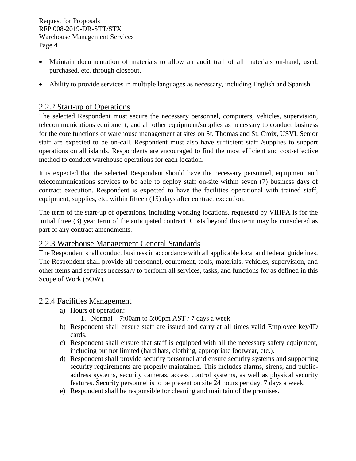- Maintain documentation of materials to allow an audit trail of all materials on-hand, used, purchased, etc. through closeout.
- Ability to provide services in multiple languages as necessary, including English and Spanish.

### <span id="page-6-0"></span>2.2.2 Start-up of Operations

The selected Respondent must secure the necessary personnel, computers, vehicles, supervision, telecommunications equipment, and all other equipment/supplies as necessary to conduct business for the core functions of warehouse management at sites on St. Thomas and St. Croix, USVI. Senior staff are expected to be on-call. Respondent must also have sufficient staff /supplies to support operations on all islands. Respondents are encouraged to find the most efficient and cost-effective method to conduct warehouse operations for each location.

It is expected that the selected Respondent should have the necessary personnel, equipment and telecommunications services to be able to deploy staff on-site within seven (7) business days of contract execution. Respondent is expected to have the facilities operational with trained staff, equipment, supplies, etc. within fifteen (15) days after contract execution.

The term of the start-up of operations, including working locations, requested by VIHFA is for the initial three (3) year term of the anticipated contract. Costs beyond this term may be considered as part of any contract amendments.

### <span id="page-6-1"></span>2.2.3 Warehouse Management General Standards

The Respondent shall conduct business in accordance with all applicable local and federal guidelines. The Respondent shall provide all personnel, equipment, tools, materials, vehicles, supervision, and other items and services necessary to perform all services, tasks, and functions for as defined in this Scope of Work (SOW).

### <span id="page-6-2"></span>2.2.4 Facilities Management

- a) Hours of operation:
	- 1. Normal 7:00am to 5:00pm AST / 7 days a week
- b) Respondent shall ensure staff are issued and carry at all times valid Employee key/ID cards.
- c) Respondent shall ensure that staff is equipped with all the necessary safety equipment, including but not limited (hard hats, clothing, appropriate footwear, etc.).
- d) Respondent shall provide security personnel and ensure security systems and supporting security requirements are properly maintained. This includes alarms, sirens, and publicaddress systems, security cameras, access control systems, as well as physical security features. Security personnel is to be present on site 24 hours per day, 7 days a week.
- e) Respondent shall be responsible for cleaning and maintain of the premises.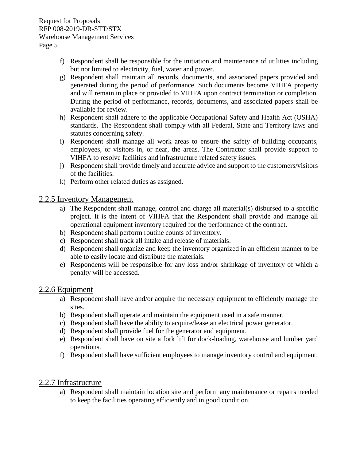- f) Respondent shall be responsible for the initiation and maintenance of utilities including but not limited to electricity, fuel, water and power.
- g) Respondent shall maintain all records, documents, and associated papers provided and generated during the period of performance. Such documents become VIHFA property and will remain in place or provided to VIHFA upon contract termination or completion. During the period of performance, records, documents, and associated papers shall be available for review.
- h) Respondent shall adhere to the applicable Occupational Safety and Health Act (OSHA) standards. The Respondent shall comply with all Federal, State and Territory laws and statutes concerning safety.
- i) Respondent shall manage all work areas to ensure the safety of building occupants, employees, or visitors in, or near, the areas. The Contractor shall provide support to VIHFA to resolve facilities and infrastructure related safety issues.
- j) Respondent shall provide timely and accurate advice and support to the customers/visitors of the facilities.
- k) Perform other related duties as assigned.

### <span id="page-7-0"></span>2.2.5 Inventory Management

- a) The Respondent shall manage, control and charge all material(s) disbursed to a specific project. It is the intent of VIHFA that the Respondent shall provide and manage all operational equipment inventory required for the performance of the contract.
- b) Respondent shall perform routine counts of inventory.
- c) Respondent shall track all intake and release of materials.
- d) Respondent shall organize and keep the inventory organized in an efficient manner to be able to easily locate and distribute the materials.
- e) Respondents will be responsible for any loss and/or shrinkage of inventory of which a penalty will be accessed.

### <span id="page-7-1"></span>2.2.6 Equipment

- a) Respondent shall have and/or acquire the necessary equipment to efficiently manage the sites.
- b) Respondent shall operate and maintain the equipment used in a safe manner.
- c) Respondent shall have the ability to acquire/lease an electrical power generator.
- d) Respondent shall provide fuel for the generator and equipment.
- e) Respondent shall have on site a fork lift for dock-loading, warehouse and lumber yard operations.
- f) Respondent shall have sufficient employees to manage inventory control and equipment.

### <span id="page-7-2"></span>2.2.7 Infrastructure

a) Respondent shall maintain location site and perform any maintenance or repairs needed to keep the facilities operating efficiently and in good condition.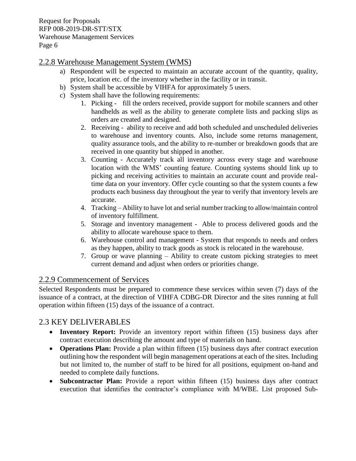### <span id="page-8-0"></span>2.2.8 Warehouse Management System (WMS)

- a) Respondent will be expected to maintain an accurate account of the quantity, quality, price, location etc. of the inventory whether in the facility or in transit.
- b) System shall be accessible by VIHFA for approximately 5 users.
- c) System shall have the following requirements:
	- 1. Picking fill the orders received, provide support for mobile scanners and other handhelds as well as the ability to generate complete lists and packing slips as orders are created and designed.
	- 2. Receiving ability to receive and add both scheduled and unscheduled deliveries to warehouse and inventory counts. Also, include some returns management, quality assurance tools, and the ability to re-number or breakdown goods that are received in one quantity but shipped in another.
	- 3. Counting Accurately track all inventory across every stage and warehouse location with the WMS' counting feature. Counting systems should link up to picking and receiving activities to maintain an accurate count and provide realtime data on your inventory. Offer cycle counting so that the system counts a few products each business day throughout the year to verify that inventory levels are accurate.
	- 4. Tracking Ability to have lot and serial number tracking to allow/maintain control of inventory fulfillment.
	- 5. Storage and inventory management Able to process delivered goods and the ability to allocate warehouse space to them.
	- 6. Warehouse control and management System that responds to needs and orders as they happen, ability to track goods as stock is relocated in the warehouse.
	- 7. Group or wave planning Ability to create custom picking strategies to meet current demand and adjust when orders or priorities change.

### <span id="page-8-1"></span>2.2.9 Commencement of Services

Selected Respondents must be prepared to commence these services within seven (7) days of the issuance of a contract, at the direction of VIHFA CDBG-DR Director and the sites running at full operation within fifteen (15) days of the issuance of a contract.

### <span id="page-8-2"></span>2.3 KEY DELIVERABLES

- **Inventory Report:** Provide an inventory report within fifteen (15) business days after contract execution describing the amount and type of materials on hand.
- **Operations Plan:** Provide a plan within fifteen (15) business days after contract execution outlining how the respondent will begin management operations at each of the sites. Including but not limited to, the number of staff to be hired for all positions, equipment on-hand and needed to complete daily functions.
- **Subcontractor Plan:** Provide a report within fifteen (15) business days after contract execution that identifies the contractor's compliance with M/WBE. List proposed Sub-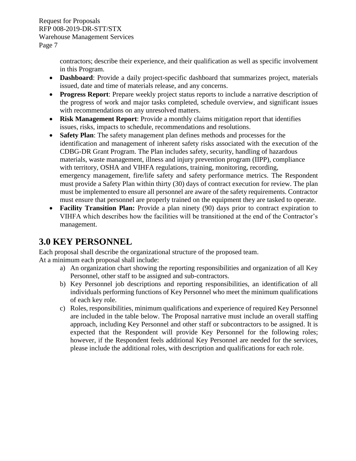> contractors; describe their experience, and their qualification as well as specific involvement in this Program.

- **Dashboard**: Provide a daily project-specific dashboard that summarizes project, materials issued, date and time of materials release, and any concerns.
- **Progress Report**: Prepare weekly project status reports to include a narrative description of the progress of work and major tasks completed, schedule overview, and significant issues with recommendations on any unresolved matters.
- **Risk Management Report**: Provide a monthly claims mitigation report that identifies issues, risks, impacts to schedule, recommendations and resolutions.
- **Safety Plan**: The safety management plan defines methods and processes for the identification and management of inherent safety risks associated with the execution of the CDBG-DR Grant Program. The Plan includes safety, security, handling of hazardous materials, waste management, illness and injury prevention program (IIPP), compliance with territory, OSHA and VIHFA regulations, training, monitoring, recording, emergency management, fire/life safety and safety performance metrics. The Respondent must provide a Safety Plan within thirty (30) days of contract execution for review. The plan must be implemented to ensure all personnel are aware of the safety requirements. Contractor must ensure that personnel are properly trained on the equipment they are tasked to operate.
- **Facility Transition Plan:** Provide a plan ninety (90) days prior to contract expiration to VIHFA which describes how the facilities will be transitioned at the end of the Contractor's management.

## <span id="page-9-0"></span>**3.0 KEY PERSONNEL**

Each proposal shall describe the organizational structure of the proposed team.

At a minimum each proposal shall include:

- a) An organization chart showing the reporting responsibilities and organization of all Key Personnel, other staff to be assigned and sub-contractors.
- b) Key Personnel job descriptions and reporting responsibilities, an identification of all individuals performing functions of Key Personnel who meet the minimum qualifications of each key role.
- c) Roles, responsibilities, minimum qualifications and experience of required Key Personnel are included in the table below. The Proposal narrative must include an overall staffing approach, including Key Personnel and other staff or subcontractors to be assigned. It is expected that the Respondent will provide Key Personnel for the following roles; however, if the Respondent feels additional Key Personnel are needed for the services, please include the additional roles, with description and qualifications for each role.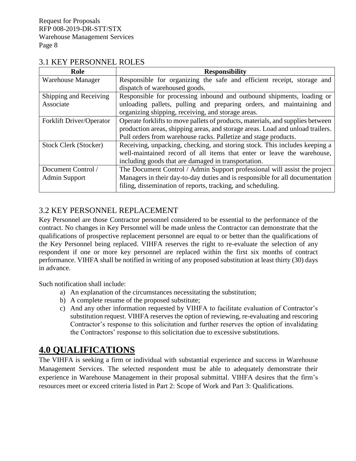### <span id="page-10-0"></span>3.1 KEY PERSONNEL ROLES

| Role                         | <b>Responsibility</b>                                                          |  |  |  |  |
|------------------------------|--------------------------------------------------------------------------------|--|--|--|--|
| <b>Warehouse Manager</b>     | Responsible for organizing the safe and efficient receipt, storage and         |  |  |  |  |
|                              | dispatch of warehoused goods.                                                  |  |  |  |  |
| Shipping and Receiving       | Responsible for processing inbound and outbound shipments, loading or          |  |  |  |  |
| Associate                    | unloading pallets, pulling and preparing orders, and maintaining and           |  |  |  |  |
|                              | organizing shipping, receiving, and storage areas.                             |  |  |  |  |
| Forklift Driver/Operator     | Operate forklifts to move pallets of products, materials, and supplies between |  |  |  |  |
|                              | production areas, shipping areas, and storage areas. Load and unload trailers. |  |  |  |  |
|                              | Pull orders from warehouse racks. Palletize and stage products.                |  |  |  |  |
| <b>Stock Clerk (Stocker)</b> | Receiving, unpacking, checking, and storing stock. This includes keeping a     |  |  |  |  |
|                              | well-maintained record of all items that enter or leave the warehouse,         |  |  |  |  |
|                              | including goods that are damaged in transportation.                            |  |  |  |  |
| Document Control /           | The Document Control / Admin Support professional will assist the project      |  |  |  |  |
| Admin Support                | Managers in their day-to-day duties and is responsible for all documentation   |  |  |  |  |
|                              | filing, dissemination of reports, tracking, and scheduling.                    |  |  |  |  |

### <span id="page-10-1"></span>3.2 KEY PERSONNEL REPLACEMENT

Key Personnel are those Contractor personnel considered to be essential to the performance of the contract. No changes in Key Personnel will be made unless the Contractor can demonstrate that the qualifications of prospective replacement personnel are equal to or better than the qualifications of the Key Personnel being replaced. VIHFA reserves the right to re-evaluate the selection of any respondent if one or more key personnel are replaced within the first six months of contract performance. VIHFA shall be notified in writing of any proposed substitution at least thirty (30) days in advance.

Such notification shall include:

- a) An explanation of the circumstances necessitating the substitution;
- b) A complete resume of the proposed substitute;
- c) And any other information requested by VIHFA to facilitate evaluation of Contractor's substitution request. VIHFA reserves the option of reviewing, re-evaluating and rescoring Contractor's response to this solicitation and further reserves the option of invalidating the Contractors' response to this solicitation due to excessive substitutions.

# <span id="page-10-2"></span>**4.0 QUALIFICATIONS**

The VIHFA is seeking a firm or individual with substantial experience and success in Warehouse Management Services. The selected respondent must be able to adequately demonstrate their experience in Warehouse Management in their proposal submittal. VIHFA desires that the firm's resources meet or exceed criteria listed in Part 2: Scope of Work and Part 3: Qualifications.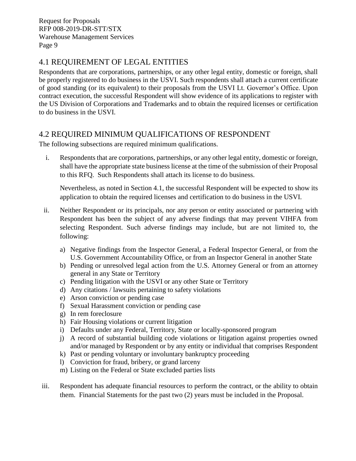### <span id="page-11-0"></span>4.1 REQUIREMENT OF LEGAL ENTITIES

Respondents that are corporations, partnerships, or any other legal entity, domestic or foreign, shall be properly registered to do business in the USVI. Such respondents shall attach a current certificate of good standing (or its equivalent) to their proposals from the USVI Lt. Governor's Office. Upon contract execution, the successful Respondent will show evidence of its applications to register with the US Division of Corporations and Trademarks and to obtain the required licenses or certification to do business in the USVI.

### <span id="page-11-1"></span>4.2 REQUIRED MINIMUM QUALIFICATIONS OF RESPONDENT

The following subsections are required minimum qualifications.

i. Respondents that are corporations, partnerships, or any other legal entity, domestic or foreign, shall have the appropriate state business license at the time of the submission of their Proposal to this RFQ. Such Respondents shall attach its license to do business.

Nevertheless, as noted in Section 4.1, the successful Respondent will be expected to show its application to obtain the required licenses and certification to do business in the USVI.

- ii. Neither Respondent or its principals, nor any person or entity associated or partnering with Respondent has been the subject of any adverse findings that may prevent VIHFA from selecting Respondent. Such adverse findings may include, but are not limited to, the following:
	- a) Negative findings from the Inspector General, a Federal Inspector General, or from the U.S. Government Accountability Office, or from an Inspector General in another State
	- b) Pending or unresolved legal action from the U.S. Attorney General or from an attorney general in any State or Territory
	- c) Pending litigation with the USVI or any other State or Territory
	- d) Any citations / lawsuits pertaining to safety violations
	- e) Arson conviction or pending case
	- f) Sexual Harassment conviction or pending case
	- g) In rem foreclosure
	- h) Fair Housing violations or current litigation
	- i) Defaults under any Federal, Territory, State or locally-sponsored program
	- j) A record of substantial building code violations or litigation against properties owned and/or managed by Respondent or by any entity or individual that comprises Respondent
	- k) Past or pending voluntary or involuntary bankruptcy proceeding
	- l) Conviction for fraud, bribery, or grand larceny
	- m) Listing on the Federal or State excluded parties lists
- iii. Respondent has adequate financial resources to perform the contract, or the ability to obtain them. Financial Statements for the past two (2) years must be included in the Proposal.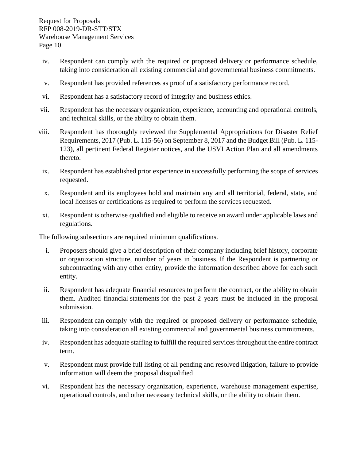- iv. Respondent can comply with the required or proposed delivery or performance schedule, taking into consideration all existing commercial and governmental business commitments.
- v. Respondent has provided references as proof of a satisfactory performance record.
- vi. Respondent has a satisfactory record of integrity and business ethics.
- vii. Respondent has the necessary organization, experience, accounting and operational controls, and technical skills, or the ability to obtain them.
- viii. Respondent has thoroughly reviewed the Supplemental Appropriations for Disaster Relief Requirements, 2017 (Pub. L. 115-56) on September 8, 2017 and the Budget Bill (Pub. L. 115- 123), all pertinent Federal Register notices, and the USVI Action Plan and all amendments thereto.
- ix. Respondent has established prior experience in successfully performing the scope of services requested.
- x. Respondent and its employees hold and maintain any and all territorial, federal, state, and local licenses or certifications as required to perform the services requested.
- xi. Respondent is otherwise qualified and eligible to receive an award under applicable laws and regulations.

The following subsections are required minimum qualifications.

- i. Proposers should give a brief description of their company including brief history, corporate or organization structure, number of years in business. If the Respondent is partnering or subcontracting with any other entity, provide the information described above for each such entity.
- ii. Respondent has adequate financial resources to perform the contract, or the ability to obtain them. Audited financial statements for the past 2 years must be included in the proposal submission.
- iii. Respondent can comply with the required or proposed delivery or performance schedule, taking into consideration all existing commercial and governmental business commitments.
- iv. Respondent has adequate staffing to fulfill the required services throughout the entire contract term.
- v. Respondent must provide full listing of all pending and resolved litigation, failure to provide information will deem the proposal disqualified
- vi. Respondent has the necessary organization, experience, warehouse management expertise, operational controls, and other necessary technical skills, or the ability to obtain them.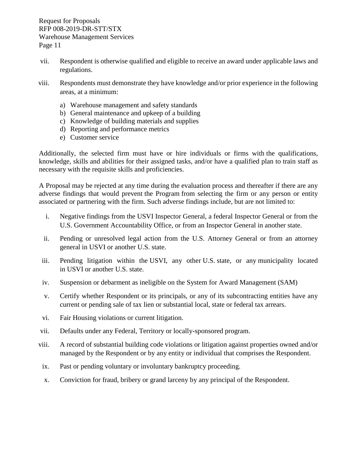- vii. Respondent is otherwise qualified and eligible to receive an award under applicable laws and regulations.
- viii. Respondents must demonstrate they have knowledge and/or prior experience in the following areas, at a minimum:
	- a) Warehouse management and safety standards
	- b) General maintenance and upkeep of a building
	- c) Knowledge of building materials and supplies
	- d) Reporting and performance metrics
	- e) Customer service

Additionally, the selected firm must have or hire individuals or firms with the qualifications, knowledge, skills and abilities for their assigned tasks, and/or have a qualified plan to train staff as necessary with the requisite skills and proficiencies.

A Proposal may be rejected at any time during the evaluation process and thereafter if there are any adverse findings that would prevent the Program from selecting the firm or any person or entity associated or partnering with the firm. Such adverse findings include, but are not limited to:

- i. Negative findings from the USVI Inspector General, a federal Inspector General or from the U.S. Government Accountability Office, or from an Inspector General in another state.
- ii. Pending or unresolved legal action from the U.S. Attorney General or from an attorney general in USVI or another U.S. state.
- iii. Pending litigation within the USVI, any other U.S. state, or any municipality located in USVI or another U.S. state.
- iv. Suspension or debarment as ineligible on the System for Award Management (SAM)
- v. Certify whether Respondent or its principals, or any of its subcontracting entities have any current or pending sale of tax lien or substantial local, state or federal tax arrears.
- vi. Fair Housing violations or current litigation.
- vii. Defaults under any Federal, Territory or locally-sponsored program.
- viii. A record of substantial building code violations or litigation against properties owned and/or managed by the Respondent or by any entity or individual that comprises the Respondent.
- ix. Past or pending voluntary or involuntary bankruptcy proceeding.
- x. Conviction for fraud, bribery or grand larceny by any principal of the Respondent.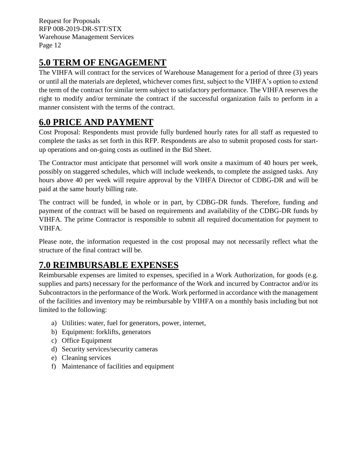# <span id="page-14-0"></span>**5.0 TERM OF ENGAGEMENT**

The VIHFA will contract for the services of Warehouse Management for a period of three (3) years or until all the materials are depleted, whichever comes first, subject to the VIHFA's option to extend the term of the contract for similar term subject to satisfactory performance. The VIHFA reserves the right to modify and/or terminate the contract if the successful organization fails to perform in a manner consistent with the terms of the contract.

# <span id="page-14-1"></span>**6.0 PRICE AND PAYMENT**

Cost Proposal: Respondents must provide fully burdened hourly rates for all staff as requested to complete the tasks as set forth in this RFP. Respondents are also to submit proposed costs for startup operations and on-going costs as outlined in the Bid Sheet.

The Contractor must anticipate that personnel will work onsite a maximum of 40 hours per week, possibly on staggered schedules, which will include weekends, to complete the assigned tasks. Any hours above 40 per week will require approval by the VIHFA Director of CDBG-DR and will be paid at the same hourly billing rate.

The contract will be funded, in whole or in part, by CDBG-DR funds. Therefore, funding and payment of the contract will be based on requirements and availability of the CDBG-DR funds by VIHFA. The prime Contractor is responsible to submit all required documentation for payment to VIHFA.

Please note, the information requested in the cost proposal may not necessarily reflect what the structure of the final contract will be.

# <span id="page-14-2"></span>**7.0 REIMBURSABLE EXPENSES**

Reimbursable expenses are limited to expenses, specified in a Work Authorization, for goods (e.g. supplies and parts) necessary for the performance of the Work and incurred by Contractor and/or its Subcontractors in the performance of the Work. Work performed in accordance with the management of the facilities and inventory may be reimbursable by VIHFA on a monthly basis including but not limited to the following:

- a) Utilities: water, fuel for generators, power, internet,
- b) Equipment: forklifts, generators
- c) Office Equipment
- d) Security services/security cameras
- e) Cleaning services
- f) Maintenance of facilities and equipment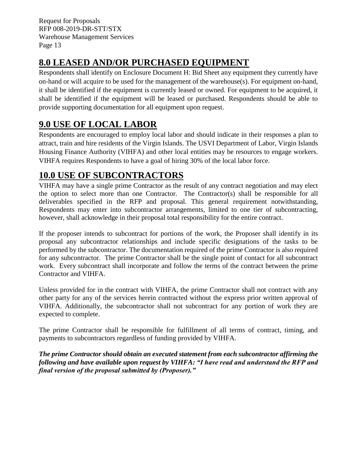# <span id="page-15-0"></span>**8.0 LEASED AND/OR PURCHASED EQUIPMENT**

Respondents shall identify on Enclosure Document H: Bid Sheet any equipment they currently have on-hand or will acquire to be used for the management of the warehouse(s). For equipment on-hand, it shall be identified if the equipment is currently leased or owned. For equipment to be acquired, it shall be identified if the equipment will be leased or purchased. Respondents should be able to provide supporting documentation for all equipment upon request.

# <span id="page-15-1"></span>**9.0 USE OF LOCAL LABOR**

Respondents are encouraged to employ local labor and should indicate in their responses a plan to attract, train and hire residents of the Virgin Islands. The USVI Department of Labor, Virgin Islands Housing Finance Authority (VIHFA) and other local entities may be resources to engage workers. VIHFA requires Respondents to have a goal of hiring 30% of the local labor force.

# <span id="page-15-2"></span>**10.0 USE OF SUBCONTRACTORS**

VIHFA may have a single prime Contractor as the result of any contract negotiation and may elect the option to select more than one Contractor. The Contractor(s) shall be responsible for all deliverables specified in the RFP and proposal. This general requirement notwithstanding, Respondents may enter into subcontractor arrangements, limited to one tier of subcontracting, however, shall acknowledge in their proposal total responsibility for the entire contract.

If the proposer intends to subcontract for portions of the work, the Proposer shall identify in its proposal any subcontractor relationships and include specific designations of the tasks to be performed by the subcontractor. The documentation required of the prime Contractor is also required for any subcontractor. The prime Contractor shall be the single point of contact for all subcontract work. Every subcontract shall incorporate and follow the terms of the contract between the prime Contractor and VIHFA.

Unless provided for in the contract with VIHFA, the prime Contractor shall not contract with any other party for any of the services herein contracted without the express prior written approval of VIHFA. Additionally, the subcontractor shall not subcontract for any portion of work they are expected to complete.

The prime Contractor shall be responsible for fulfillment of all terms of contract, timing, and payments to subcontractors regardless of funding provided by VIHFA.

*The prime Contractor should obtain an executed statement from each subcontractor affirming the following and have available upon request by VIHFA: "I have read and understand the RFP and final version of the proposal submitted by (Proposer)."*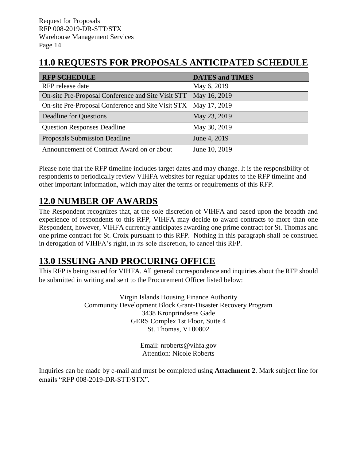# <span id="page-16-0"></span>**11.0 REQUESTS FOR PROPOSALS ANTICIPATED SCHEDULE**

| <b>RFP SCHEDULE</b>                                | <b>DATES and TIMES</b> |
|----------------------------------------------------|------------------------|
| RFP release date                                   | May 6, 2019            |
| On-site Pre-Proposal Conference and Site Visit STT | May 16, 2019           |
| On-site Pre-Proposal Conference and Site Visit STX | May 17, 2019           |
| <b>Deadline for Questions</b>                      | May 23, 2019           |
| <b>Question Responses Deadline</b>                 | May 30, 2019           |
| Proposals Submission Deadline                      | June 4, 2019           |
| Announcement of Contract Award on or about         | June 10, 2019          |

Please note that the RFP timeline includes target dates and may change. It is the responsibility of respondents to periodically review VIHFA websites for regular updates to the RFP timeline and other important information, which may alter the terms or requirements of this RFP.

# <span id="page-16-1"></span>**12.0 NUMBER OF AWARDS**

The Respondent recognizes that, at the sole discretion of VIHFA and based upon the breadth and experience of respondents to this RFP, VIHFA may decide to award contracts to more than one Respondent, however, VIHFA currently anticipates awarding one prime contract for St. Thomas and one prime contract for St. Croix pursuant to this RFP. Nothing in this paragraph shall be construed in derogation of VIHFA's right, in its sole discretion, to cancel this RFP.

# <span id="page-16-2"></span>**13.0 ISSUING AND PROCURING OFFICE**

This RFP is being issued for VIHFA. All general correspondence and inquiries about the RFP should be submitted in writing and sent to the Procurement Officer listed below:

> Virgin Islands Housing Finance Authority Community Development Block Grant-Disaster Recovery Program 3438 Kronprindsens Gade GERS Complex 1st Floor, Suite 4 St. Thomas, VI 00802

> > Email: nroberts@vihfa.gov Attention: Nicole Roberts

Inquiries can be made by e-mail and must be completed using **Attachment 2**. Mark subject line for emails "RFP 008-2019-DR-STT/STX".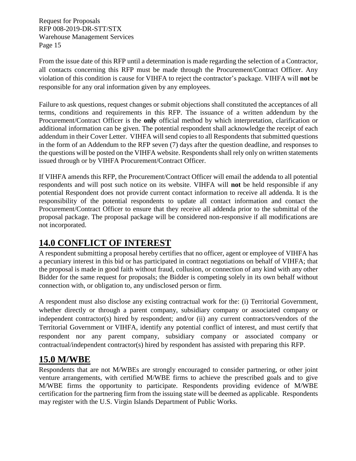From the issue date of this RFP until a determination is made regarding the selection of a Contractor, all contacts concerning this RFP must be made through the Procurement/Contract Officer. Any violation of this condition is cause for VIHFA to reject the contractor's package. VIHFA will **not** be responsible for any oral information given by any employees.

Failure to ask questions, request changes or submit objections shall constituted the acceptances of all terms, conditions and requirements in this RFP. The issuance of a written addendum by the Procurement/Contract Officer is the **only** official method by which interpretation, clarification or additional information can be given. The potential respondent shall acknowledge the receipt of each addendum in their Cover Letter. VIHFA will send copies to all Respondents that submitted questions in the form of an Addendum to the RFP seven (7) days after the question deadline, and responses to the questions will be posted on the VIHFA website. Respondents shall rely only on written statements issued through or by VIHFA Procurement/Contract Officer.

If VIHFA amends this RFP, the Procurement/Contract Officer will email the addenda to all potential respondents and will post such notice on its website. VIHFA will **not** be held responsible if any potential Respondent does not provide current contact information to receive all addenda. It is the responsibility of the potential respondents to update all contact information and contact the Procurement/Contract Officer to ensure that they receive all addenda prior to the submittal of the proposal package. The proposal package will be considered non-responsive if all modifications are not incorporated.

# <span id="page-17-0"></span>**14.0 CONFLICT OF INTEREST**

A respondent submitting a proposal hereby certifies that no officer, agent or employee of VIHFA has a pecuniary interest in this bid or has participated in contract negotiations on behalf of VIHFA; that the proposal is made in good faith without fraud, collusion, or connection of any kind with any other Bidder for the same request for proposals; the Bidder is competing solely in its own behalf without connection with, or obligation to, any undisclosed person or firm.

A respondent must also disclose any existing contractual work for the: (i) Territorial Government, whether directly or through a parent company, subsidiary company or associated company or independent contractor(s) hired by respondent; and/or (ii) any current contractors/vendors of the Territorial Government or VIHFA, identify any potential conflict of interest, and must certify that respondent nor any parent company, subsidiary company or associated company or contractual/independent contractor(s) hired by respondent has assisted with preparing this RFP.

## <span id="page-17-1"></span>**15.0 M/WBE**

Respondents that are not M/WBEs are strongly encouraged to consider partnering, or other joint venture arrangements, with certified M/WBE firms to achieve the prescribed goals and to give M/WBE firms the opportunity to participate. Respondents providing evidence of M/WBE certification for the partnering firm from the issuing state will be deemed as applicable. Respondents may register with the U.S. Virgin Islands Department of Public Works.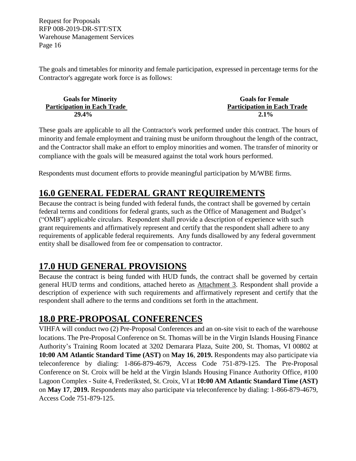The goals and timetables for minority and female participation, expressed in percentage terms for the Contractor's aggregate work force is as follows:

| <b>Goals for Minority</b>          | <b>Goals for Female</b>            |
|------------------------------------|------------------------------------|
| <b>Participation in Each Trade</b> | <b>Participation in Each Trade</b> |
| <b>29.4%</b>                       | $2.1\%$                            |

These goals are applicable to all the Contractor's work performed under this contract. The hours of minority and female employment and training must be uniform throughout the length of the contract, and the Contractor shall make an effort to employ minorities and women. The transfer of minority or compliance with the goals will be measured against the total work hours performed.

Respondents must document [efforts](http://www.ogs.ny.gov/BU/DC/Docs/PDF/GoodFaithEfforts143Point8.pdf) to provide meaningful participation by M/WBE firms.

# <span id="page-18-0"></span>**16.0 GENERAL FEDERAL GRANT REQUIREMENTS**

Because the contract is being funded with federal funds, the contract shall be governed by certain federal terms and conditions for federal grants, such as the Office of Management and Budget's ("OMB") applicable circulars. Respondent shall provide a description of experience with such grant requirements and affirmatively represent and certify that the respondent shall adhere to any requirements of applicable federal requirements. Any funds disallowed by any federal government entity shall be disallowed from fee or compensation to contractor.

# <span id="page-18-1"></span>**17.0 HUD GENERAL PROVISIONS**

Because the contract is being funded with HUD funds, the contract shall be governed by certain general HUD terms and conditions, attached hereto as Attachment 3. Respondent shall provide a description of experience with such requirements and affirmatively represent and certify that the respondent shall adhere to the terms and conditions set forth in the attachment.

# <span id="page-18-2"></span>**18.0 PRE-PROPOSAL CONFERENCES**

VIHFA will conduct two (2) Pre-Proposal Conferences and an on-site visit to each of the warehouse locations. The Pre-Proposal Conference on St. Thomas will be in the Virgin Islands Housing Finance Authority's Training Room located at 3202 Demarara Plaza, Suite 200, St. Thomas, VI 00802 at **10:00 AM Atlantic Standard Time (AST)** on **May 16**, **2019.** Respondents may also participate via teleconference by dialing: 1-866-879-4679, Access Code 751-879-125. The Pre-Proposal Conference on St. Croix will be held at the Virgin Islands Housing Finance Authority Office, #100 Lagoon Complex - Suite 4, Frederiksted, St. Croix, VI at **10:00 AM Atlantic Standard Time (AST)** on **May 17**, **2019.** Respondents may also participate via teleconference by dialing: 1-866-879-4679, Access Code 751-879-125.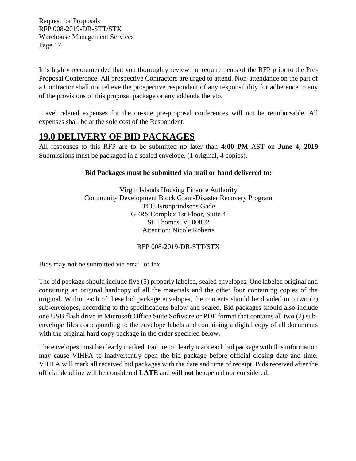It is highly recommended that you thoroughly review the requirements of the RFP prior to the Pre-Proposal Conference. All prospective Contractors are urged to attend. Non-attendance on the part of a Contractor shall not relieve the prospective respondent of any responsibility for adherence to any of the provisions of this proposal package or any addenda thereto.

Travel related expenses for the on-site pre-proposal conferences will not be reimbursable. All expenses shall be at the sole cost of the Respondent.

# <span id="page-19-0"></span>**19.0 DELIVERY OF BID PACKAGES**

All responses to this RFP are to be submitted no later than **4:00 PM** AST on **June 4, 2019** Submissions must be packaged in a sealed envelope. (1 original, 4 copies).

### **Bid Packages must be submitted via mail or hand delivered to:**

Virgin Islands Housing Finance Authority Community Development Block Grant-Disaster Recovery Program 3438 Kronprindsens Gade GERS Complex 1st Floor, Suite 4 St. Thomas, VI 00802 Attention: Nicole Roberts

RFP 008-2019-DR-STT/STX

Bids may **not** be submitted via email or fax.

The bid package should include five (5) properly labeled, sealed envelopes. One labeled original and containing an original hardcopy of all the materials and the other four containing copies of the original. Within each of these bid package envelopes, the contents should be divided into two (2) sub-envelopes, according to the specifications below and sealed. Bid packages should also include one USB flash drive in Microsoft Office Suite Software or PDF format that contains all two (2) subenvelope files corresponding to the envelope labels and containing a digital copy of all documents with the original hard copy package in the order specified below.

The envelopes must be clearly marked. Failure to clearly mark each bid package with this information may cause VIHFA to inadvertently open the bid package before official closing date and time. VIHFA will mark all received bid packages with the date and time of receipt. Bids received after the official deadline will be considered **LATE** and will **not** be opened nor considered.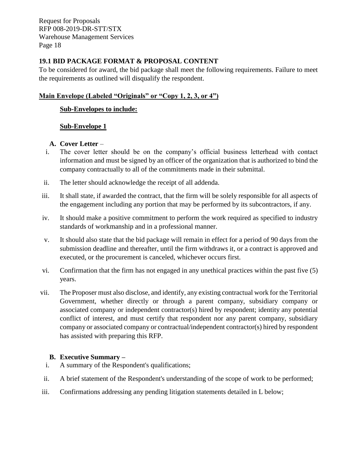#### <span id="page-20-0"></span>**19.1 BID PACKAGE FORMAT & PROPOSAL CONTENT**

To be considered for award, the bid package shall meet the following requirements. Failure to meet the requirements as outlined will disqualify the respondent.

### **Main Envelope (Labeled "Originals" or "Copy 1, 2, 3, or 4")**

### **Sub-Envelopes to include:**

### **Sub-Envelope 1**

#### **A. Cover Letter** –

- i. The cover letter should be on the company's official business letterhead with contact information and must be signed by an officer of the organization that is authorized to bind the company contractually to all of the commitments made in their submittal.
- ii. The letter should acknowledge the receipt of all addenda.
- iii. It shall state, if awarded the contract, that the firm will be solely responsible for all aspects of the engagement including any portion that may be performed by its subcontractors, if any.
- iv. It should make a positive commitment to perform the work required as specified to industry standards of workmanship and in a professional manner.
- v. It should also state that the bid package will remain in effect for a period of 90 days from the submission deadline and thereafter, until the firm withdraws it, or a contract is approved and executed, or the procurement is canceled, whichever occurs first.
- vi. Confirmation that the firm has not engaged in any unethical practices within the past five (5) years.
- vii. The Proposer must also disclose, and identify, any existing contractual work for the Territorial Government, whether directly or through a parent company, subsidiary company or associated company or independent contractor(s) hired by respondent; identity any potential conflict of interest, and must certify that respondent nor any parent company, subsidiary company or associated company or contractual/independent contractor(s) hired by respondent has assisted with preparing this RFP.

#### **B. Executive Summary –**

- i. A summary of the Respondent's qualifications;
- ii. A brief statement of the Respondent's understanding of the scope of work to be performed;
- iii. Confirmations addressing any pending litigation statements detailed in L below;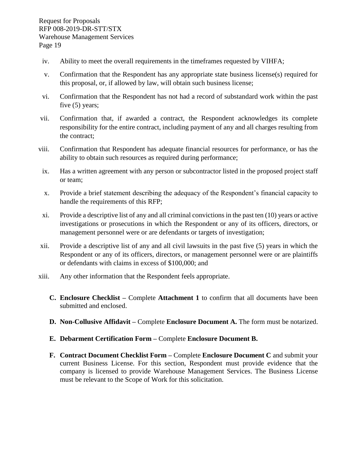- iv. Ability to meet the overall requirements in the timeframes requested by VIHFA;
- v. Confirmation that the Respondent has any appropriate state business license(s) required for this proposal, or, if allowed by law, will obtain such business license;
- vi. Confirmation that the Respondent has not had a record of substandard work within the past five (5) years;
- vii. Confirmation that, if awarded a contract, the Respondent acknowledges its complete responsibility for the entire contract, including payment of any and all charges resulting from the contract;
- viii. Confirmation that Respondent has adequate financial resources for performance, or has the ability to obtain such resources as required during performance;
- ix. Has a written agreement with any person or subcontractor listed in the proposed project staff or team;
- x. Provide a brief statement describing the adequacy of the Respondent's financial capacity to handle the requirements of this RFP;
- xi. Provide a descriptive list of any and all criminal convictions in the past ten (10) years or active investigations or prosecutions in which the Respondent or any of its officers, directors, or management personnel were or are defendants or targets of investigation;
- xii. Provide a descriptive list of any and all civil lawsuits in the past five (5) years in which the Respondent or any of its officers, directors, or management personnel were or are plaintiffs or defendants with claims in excess of \$100,000; and
- xiii. Any other information that the Respondent feels appropriate.
	- **C. Enclosure Checklist –** Complete **Attachment 1** to confirm that all documents have been submitted and enclosed.
	- **D. Non-Collusive Affidavit –** Complete **Enclosure Document A.** The form must be notarized.
	- **E. Debarment Certification Form –** Complete **Enclosure Document B.**
	- **F. Contract Document Checklist Form –** Complete **Enclosure Document C** and submit your current Business License. For this section, Respondent must provide evidence that the company is licensed to provide Warehouse Management Services. The Business License must be relevant to the Scope of Work for this solicitation.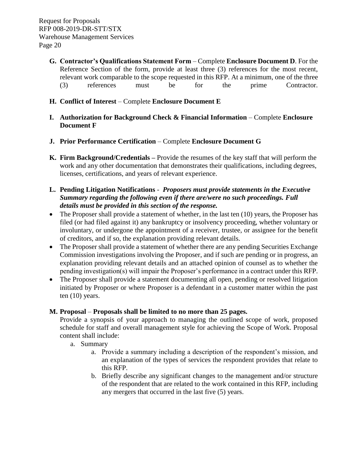- **G. Contractor's Qualifications Statement Form** Complete **Enclosure Document D**. For the Reference Section of the form, provide at least three (3) references for the most recent, relevant work comparable to the scope requested in this RFP. At a minimum, one of the three (3) references must be for the prime Contractor.
- **H. Conflict of Interest** Complete **Enclosure Document E**
- **I. Authorization for Background Check & Financial Information** Complete **Enclosure Document F**
- **J. Prior Performance Certification** Complete **Enclosure Document G**
- **K. Firm Background/Credentials –** Provide the resumes of the key staff that will perform the work and any other documentation that demonstrates their qualifications, including degrees, licenses, certifications, and years of relevant experience.
- **L. Pending Litigation Notifications**  *Proposers must provide statements in the Executive Summary regarding the following even if there are/were no such proceedings. Full details must be provided in this section of the response.*
- The Proposer shall provide a statement of whether, in the last ten (10) years, the Proposer has filed (or had filed against it) any bankruptcy or insolvency proceeding, whether voluntary or involuntary, or undergone the appointment of a receiver, trustee, or assignee for the benefit of creditors, and if so, the explanation providing relevant details.
- The Proposer shall provide a statement of whether there are any pending Securities Exchange Commission investigations involving the Proposer, and if such are pending or in progress, an explanation providing relevant details and an attached opinion of counsel as to whether the pending investigation(s) will impair the Proposer's performance in a contract under this RFP.
- The Proposer shall provide a statement documenting all open, pending or resolved litigation initiated by Proposer or where Proposer is a defendant in a customer matter within the past ten (10) years.

#### **M. Proposal** – **Proposals shall be limited to no more than 25 pages.**

Provide a synopsis of your approach to managing the outlined scope of work, proposed schedule for staff and overall management style for achieving the Scope of Work. Proposal content shall include:

- a. Summary
	- a. Provide a summary including a description of the respondent's mission, and an explanation of the types of services the respondent provides that relate to this RFP.
	- b. Briefly describe any significant changes to the management and/or structure of the respondent that are related to the work contained in this RFP, including any mergers that occurred in the last five (5) years.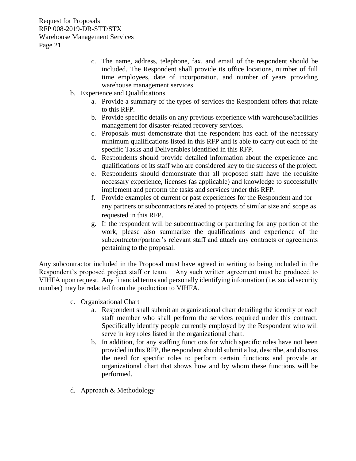- c. The name, address, telephone, fax, and email of the respondent should be included. The Respondent shall provide its office locations, number of full time employees, date of incorporation, and number of years providing warehouse management services.
- b. Experience and Qualifications
	- a. Provide a summary of the types of services the Respondent offers that relate to this RFP.
	- b. Provide specific details on any previous experience with warehouse/facilities management for disaster-related recovery services.
	- c. Proposals must demonstrate that the respondent has each of the necessary minimum qualifications listed in this RFP and is able to carry out each of the specific Tasks and Deliverables identified in this RFP.
	- d. Respondents should provide detailed information about the experience and qualifications of its staff who are considered key to the success of the project.
	- e. Respondents should demonstrate that all proposed staff have the requisite necessary experience, licenses (as applicable) and knowledge to successfully implement and perform the tasks and services under this RFP.
	- f. Provide examples of current or past experiences for the Respondent and for any partners or subcontractors related to projects of similar size and scope as requested in this RFP.
	- g. If the respondent will be subcontracting or partnering for any portion of the work, please also summarize the qualifications and experience of the subcontractor/partner's relevant staff and attach any contracts or agreements pertaining to the proposal.

Any subcontractor included in the Proposal must have agreed in writing to being included in the Respondent's proposed project staff or team. Any such written agreement must be produced to VIHFA upon request. Any financial terms and personally identifying information (i.e. social security number) may be redacted from the production to VIHFA.

- c. Organizational Chart
	- a. Respondent shall submit an organizational chart detailing the identity of each staff member who shall perform the services required under this contract. Specifically identify people currently employed by the Respondent who will serve in key roles listed in the organizational chart.
	- b. In addition, for any staffing functions for which specific roles have not been provided in this RFP, the respondent should submit a list, describe, and discuss the need for specific roles to perform certain functions and provide an organizational chart that shows how and by whom these functions will be performed.
- d. Approach & Methodology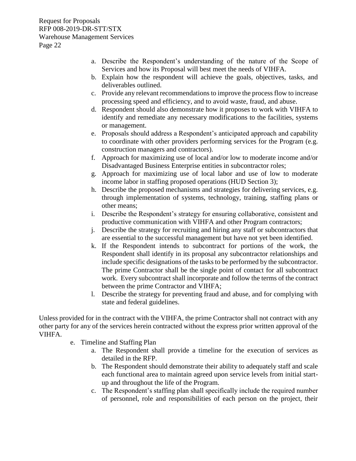- a. Describe the Respondent's understanding of the nature of the Scope of Services and how its Proposal will best meet the needs of VIHFA.
- b. Explain how the respondent will achieve the goals, objectives, tasks, and deliverables outlined.
- c. Provide any relevant recommendations to improve the process flow to increase processing speed and efficiency, and to avoid waste, fraud, and abuse.
- d. Respondent should also demonstrate how it proposes to work with VIHFA to identify and remediate any necessary modifications to the facilities, systems or management.
- e. Proposals should address a Respondent's anticipated approach and capability to coordinate with other providers performing services for the Program (e.g. construction managers and contractors).
- f. Approach for maximizing use of local and/or low to moderate income and/or Disadvantaged Business Enterprise entities in subcontractor roles;
- g. Approach for maximizing use of local labor and use of low to moderate income labor in staffing proposed operations (HUD Section 3);
- h. Describe the proposed mechanisms and strategies for delivering services, e.g. through implementation of systems, technology, training, staffing plans or other means;
- i. Describe the Respondent's strategy for ensuring collaborative, consistent and productive communication with VIHFA and other Program contractors;
- j. Describe the strategy for recruiting and hiring any staff or subcontractors that are essential to the successful management but have not yet been identified.
- k. If the Respondent intends to subcontract for portions of the work, the Respondent shall identify in its proposal any subcontractor relationships and include specific designations of the tasks to be performed by the subcontractor. The prime Contractor shall be the single point of contact for all subcontract work. Every subcontract shall incorporate and follow the terms of the contract between the prime Contractor and VIHFA;
- l. Describe the strategy for preventing fraud and abuse, and for complying with state and federal guidelines.

Unless provided for in the contract with the VIHFA, the prime Contractor shall not contract with any other party for any of the services herein contracted without the express prior written approval of the VIHFA.

- e. Timeline and Staffing Plan
	- a. The Respondent shall provide a timeline for the execution of services as detailed in the RFP.
	- b. The Respondent should demonstrate their ability to adequately staff and scale each functional area to maintain agreed upon service levels from initial startup and throughout the life of the Program.
	- c. The Respondent's staffing plan shall specifically include the required number of personnel, role and responsibilities of each person on the project, their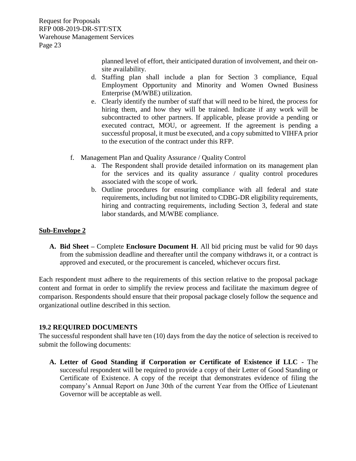> planned level of effort, their anticipated duration of involvement, and their onsite availability.

- d. Staffing plan shall include a plan for Section 3 compliance, Equal Employment Opportunity and Minority and Women Owned Business Enterprise (M/WBE) utilization.
- e. Clearly identify the number of staff that will need to be hired, the process for hiring them, and how they will be trained. Indicate if any work will be subcontracted to other partners. If applicable, please provide a pending or executed contract, MOU, or agreement. If the agreement is pending a successful proposal, it must be executed, and a copy submitted to VIHFA prior to the execution of the contract under this RFP.
- f. Management Plan and Quality Assurance / Quality Control
	- a. The Respondent shall provide detailed information on its management plan for the services and its quality assurance / quality control procedures associated with the scope of work.
	- b. Outline procedures for ensuring compliance with all federal and state requirements, including but not limited to CDBG-DR eligibility requirements, hiring and contracting requirements, including Section 3, federal and state labor standards, and M/WBE compliance.

#### **Sub-Envelope 2**

**A. Bid Sheet –** Complete **Enclosure Document H**. All bid pricing must be valid for 90 days from the submission deadline and thereafter until the company withdraws it, or a contract is approved and executed, or the procurement is canceled, whichever occurs first.

Each respondent must adhere to the requirements of this section relative to the proposal package content and format in order to simplify the review process and facilitate the maximum degree of comparison. Respondents should ensure that their proposal package closely follow the sequence and organizational outline described in this section.

#### <span id="page-25-0"></span>**19.2 REQUIRED DOCUMENTS**

The successful respondent shall have ten (10) days from the day the notice of selection is received to submit the following documents:

**A. Letter of Good Standing if Corporation or Certificate of Existence if LLC -** The successful respondent will be required to provide a copy of their Letter of Good Standing or Certificate of Existence. A copy of the receipt that demonstrates evidence of filing the company's Annual Report on June 30th of the current Year from the Office of Lieutenant Governor will be acceptable as well.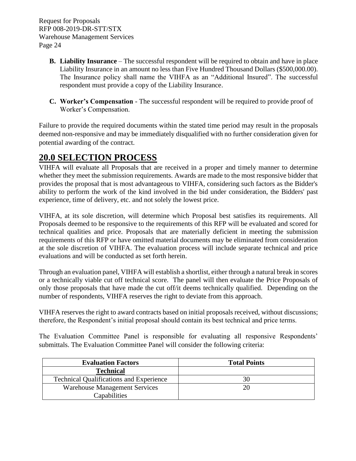- **B. Liability Insurance** The successful respondent will be required to obtain and have in place Liability Insurance in an amount no less than Five Hundred Thousand Dollars (\$500,000.00). The Insurance policy shall name the VIHFA as an "Additional Insured". The successful respondent must provide a copy of the Liability Insurance.
- **C. Worker's Compensation**  The successful respondent will be required to provide proof of Worker's Compensation.

Failure to provide the required documents within the stated time period may result in the proposals deemed non-responsive and may be immediately disqualified with no further consideration given for potential awarding of the contract.

# <span id="page-26-0"></span>**20.0 SELECTION PROCESS**

VIHFA will evaluate all Proposals that are received in a proper and timely manner to determine whether they meet the submission requirements. Awards are made to the most responsive bidder that provides the proposal that is most advantageous to VIHFA, considering such factors as the Bidder's ability to perform the work of the kind involved in the bid under consideration, the Bidders' past experience, time of delivery, etc. and not solely the lowest price.

VIHFA, at its sole discretion, will determine which Proposal best satisfies its requirements. All Proposals deemed to be responsive to the requirements of this RFP will be evaluated and scored for technical qualities and price. Proposals that are materially deficient in meeting the submission requirements of this RFP or have omitted material documents may be eliminated from consideration at the sole discretion of VIHFA. The evaluation process will include separate technical and price evaluations and will be conducted as set forth herein.

Through an evaluation panel, VIHFA will establish a shortlist, either through a natural break in scores or a technically viable cut off technical score. The panel will then evaluate the Price Proposals of only those proposals that have made the cut off/it deems technically qualified. Depending on the number of respondents, VIHFA reserves the right to deviate from this approach.

VIHFA reserves the right to award contracts based on initial proposals received, without discussions; therefore, the Respondent's initial proposal should contain its best technical and price terms.

The Evaluation Committee Panel is responsible for evaluating all responsive Respondents' submittals. The Evaluation Committee Panel will consider the following criteria:

| <b>Evaluation Factors</b>                      | <b>Total Points</b> |
|------------------------------------------------|---------------------|
| <b>Technical</b>                               |                     |
| <b>Technical Qualifications and Experience</b> | 30                  |
| <b>Warehouse Management Services</b>           | 20                  |
| Capabilities                                   |                     |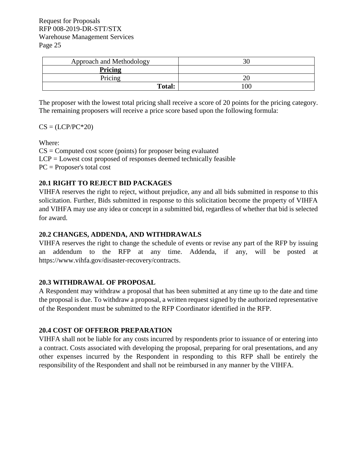| Approach and Methodology |                |
|--------------------------|----------------|
| Pricing                  |                |
| Pricing                  |                |
| Total:                   | 0 <sup>0</sup> |

The proposer with the lowest total pricing shall receive a score of 20 points for the pricing category. The remaining proposers will receive a price score based upon the following formula:

 $CS = (LCP/PC^*20)$ 

Where:

 $CS =$  Computed cost score (points) for proposer being evaluated LCP = Lowest cost proposed of responses deemed technically feasible PC = Proposer's total cost

### <span id="page-27-0"></span>**20.1 RIGHT TO REJECT BID PACKAGES**

VIHFA reserves the right to reject, without prejudice, any and all bids submitted in response to this solicitation. Further, Bids submitted in response to this solicitation become the property of VIHFA and VIHFA may use any idea or concept in a submitted bid, regardless of whether that bid is selected for award.

#### <span id="page-27-1"></span>**20.2 CHANGES, ADDENDA, AND WITHDRAWALS**

VIHFA reserves the right to change the schedule of events or revise any part of the RFP by issuing an addendum to the RFP at any time. Addenda, if any, will be posted at [https://www.vihfa.gov/disaster-recovery/contracts.](https://www.vihfa.gov/disaster-recovery/contracts)

#### <span id="page-27-2"></span>**20.3 WITHDRAWAL OF PROPOSAL**

A Respondent may withdraw a proposal that has been submitted at any time up to the date and time the proposal is due. To withdraw a proposal, a written request signed by the authorized representative of the Respondent must be submitted to the RFP Coordinator identified in the RFP.

### <span id="page-27-3"></span>**20.4 COST OF OFFEROR PREPARATION**

VIHFA shall not be liable for any costs incurred by respondents prior to issuance of or entering into a contract. Costs associated with developing the proposal, preparing for oral presentations, and any other expenses incurred by the Respondent in responding to this RFP shall be entirely the responsibility of the Respondent and shall not be reimbursed in any manner by the VIHFA.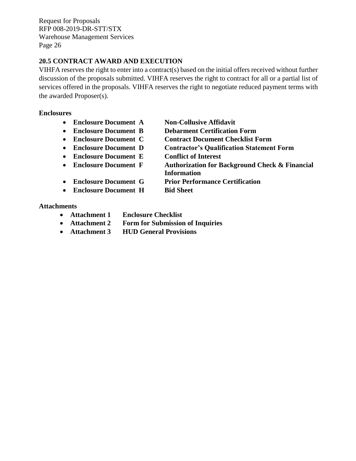#### <span id="page-28-0"></span>**20.5 CONTRACT AWARD AND EXECUTION**

VIHFA reserves the right to enter into a contract(s) based on the initial offers received without further discussion of the proposals submitted. VIHFA reserves the right to contract for all or a partial list of services offered in the proposals. VIHFA reserves the right to negotiate reduced payment terms with the awarded Proposer(s).

#### **Enclosures**

- **Enclosure Document A Non-Collusive Affidavit**
- 
- 
- 
- **Enclosure Document E Conflict of Interest**
- 
- 
- 
- 
- **Enclosure Document B Debarment Certification Form**
- **Enclosure Document C Contract Document Checklist Form**
- **Enclosure Document D Contractor's Qualification Statement Form**
	-
- **Enclosure Document F Authorization for Background Check & Financial Information**
- **Enclosure Document G Prior Performance Certification**
- **Enclosure Document H Bid Sheet**

#### **Attachments**

- **Attachment 1 Enclosure Checklist**
- **Attachment 2 Form for Submission of Inquiries**
- **Attachment 3 HUD General Provisions**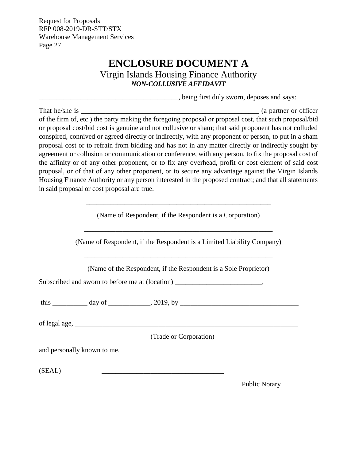# **ENCLOSURE DOCUMENT A**

Virgin Islands Housing Finance Authority *NON-COLLUSIVE AFFIDAVIT*

\_\_\_\_\_\_\_\_\_\_\_\_\_\_\_\_\_\_\_\_\_\_\_\_\_\_\_\_\_\_\_\_\_\_\_\_\_\_\_\_, being first duly sworn, deposes and says:

<span id="page-29-0"></span>That he/she is \_\_\_\_\_\_\_\_\_\_\_\_\_\_\_\_\_\_\_\_\_\_\_\_\_\_\_\_\_\_\_\_\_\_\_\_\_\_\_\_\_\_\_\_\_\_\_\_\_\_\_ (a partner or officer of the firm of, etc.) the party making the foregoing proposal or proposal cost, that such proposal/bid or proposal cost/bid cost is genuine and not collusive or sham; that said proponent has not colluded conspired, connived or agreed directly or indirectly, with any proponent or person, to put in a sham proposal cost or to refrain from bidding and has not in any matter directly or indirectly sought by agreement or collusion or communication or conference, with any person, to fix the proposal cost of the affinity or of any other proponent, or to fix any overhead, profit or cost element of said cost proposal, or of that of any other proponent, or to secure any advantage against the Virgin Islands Housing Finance Authority or any person interested in the proposed contract; and that all statements in said proposal or cost proposal are true.

(Name of Respondent, if the Respondent is a Corporation)

\_\_\_\_\_\_\_\_\_\_\_\_\_\_\_\_\_\_\_\_\_\_\_\_\_\_\_\_\_\_\_\_\_\_\_\_\_\_\_\_\_\_\_\_\_\_\_\_\_\_\_\_\_

(Name of Respondent, if the Respondent is a Limited Liability Company)

\_\_\_\_\_\_\_\_\_\_\_\_\_\_\_\_\_\_\_\_\_\_\_\_\_\_\_\_\_\_\_\_\_\_\_\_\_\_\_\_\_\_\_\_\_\_\_\_\_\_\_\_\_\_

(Name of the Respondent, if the Respondent is a Sole Proprietor)

\_\_\_\_\_\_\_\_\_\_\_\_\_\_\_\_\_\_\_\_\_\_\_\_\_\_\_\_\_\_\_\_\_\_\_\_\_\_\_\_\_\_\_\_\_\_\_\_\_\_\_\_\_\_

Subscribed and sworn to before me at (location)  $\cdot$ 

this \_\_\_\_\_\_\_\_\_\_ day of \_\_\_\_\_\_\_\_\_\_\_\_, 2019, by \_\_\_\_\_\_\_\_\_\_\_\_\_\_\_\_\_\_\_\_\_\_\_\_\_\_\_\_\_\_\_\_\_\_

of legal age,  $\Box$ 

(Trade or Corporation)

and personally known to me.

 $(SEAL)$ 

Public Notary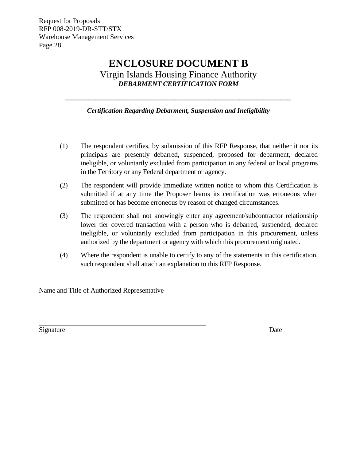# **ENCLOSURE DOCUMENT B**

Virgin Islands Housing Finance Authority *DEBARMENT CERTIFICATION FORM*

#### *Certification Regarding Debarment, Suspension and Ineligibility \_\_\_\_\_\_\_\_\_\_\_\_\_\_\_\_\_\_\_\_\_\_\_\_\_\_\_\_\_\_\_\_\_\_\_\_\_\_\_\_\_\_\_\_\_\_\_\_\_\_\_\_\_\_\_\_\_\_\_\_\_\_\_\_\_\_*

<span id="page-30-0"></span>*\_\_\_\_\_\_\_\_\_\_\_\_\_\_\_\_\_\_\_\_\_\_\_\_\_\_\_\_\_\_\_\_\_\_\_\_\_\_\_\_\_\_\_\_\_\_\_\_\_\_\_\_\_\_\_\_\_\_\_\_\_\_\_\_\_\_*

- (1) The respondent certifies, by submission of this RFP Response, that neither it nor its principals are presently debarred, suspended, proposed for debarment, declared ineligible, or voluntarily excluded from participation in any federal or local programs in the Territory or any Federal department or agency.
- (2) The respondent will provide immediate written notice to whom this Certification is submitted if at any time the Proposer learns its certification was erroneous when submitted or has become erroneous by reason of changed circumstances.
- (3) The respondent shall not knowingly enter any agreement/subcontractor relationship lower tier covered transaction with a person who is debarred, suspended, declared ineligible, or voluntarily excluded from participation in this procurement, unless authorized by the department or agency with which this procurement originated.
- (4) Where the respondent is unable to certify to any of the statements in this certification, such respondent shall attach an explanation to this RFP Response.

Name and Title of Authorized Representative

Signature Date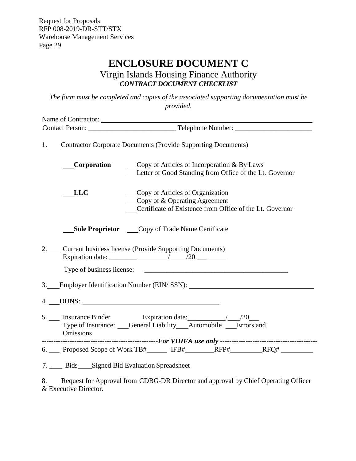# **ENCLOSURE DOCUMENT C**

### Virgin Islands Housing Finance Authority *CONTRACT DOCUMENT CHECKLIST*

<span id="page-31-0"></span>*The form must be completed and copies of the associated supporting documentation must be provided.*

| Name of Contractor: |                                                                                                                                                               |  |
|---------------------|---------------------------------------------------------------------------------------------------------------------------------------------------------------|--|
|                     |                                                                                                                                                               |  |
|                     | 1. Contractor Corporate Documents (Provide Supporting Documents)                                                                                              |  |
| Corporation         | Copy of Articles of Incorporation & By Laws<br>Letter of Good Standing from Office of the Lt. Governor                                                        |  |
| LLC                 | Copy of Articles of Organization<br>$\qquad \qquad \text{Copy of} \& \text{ Operating Agreement}$<br>Certificate of Existence from Office of the Lt. Governor |  |
|                     | <b>Sole Proprietor</b> Copy of Trade Name Certificate                                                                                                         |  |
|                     | 2. Current business license (Provide Supporting Documents)<br>Expiration date: $\frac{20}{20}$                                                                |  |
|                     |                                                                                                                                                               |  |
|                     | 3. Employer Identification Number (EIN/SSN):                                                                                                                  |  |
|                     | $4.$ DUNS:                                                                                                                                                    |  |
| <b>Omissions</b>    | Type of Insurance: General Liability Automobile Errors and                                                                                                    |  |
|                     |                                                                                                                                                               |  |
|                     |                                                                                                                                                               |  |
|                     | 7. Bids Signed Bid Evaluation Spreadsheet                                                                                                                     |  |
|                     | 8. Request for Approval from CDBG-DR Director and approval by Chief Operating Officer                                                                         |  |

& Executive Director.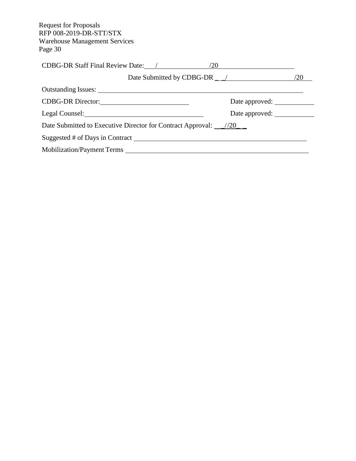| CDBG-DR Staff Final Review Date: /<br>/20                                                                                                                                                                                                       |     |
|-------------------------------------------------------------------------------------------------------------------------------------------------------------------------------------------------------------------------------------------------|-----|
| Date Submitted by CDBG-DR $\_\$                                                                                                                                                                                                                 | /20 |
|                                                                                                                                                                                                                                                 |     |
| Date approved:                                                                                                                                                                                                                                  |     |
| Date approved:<br>Legal Counsel: 2008 and 2008 and 2008 and 2008 and 2008 and 2008 and 2008 and 2008 and 2008 and 2008 and 2008 and 2008 and 2008 and 2008 and 2008 and 2008 and 2008 and 2008 and 2008 and 2008 and 2008 and 2008 and 2008 and |     |
| Date Submitted to Executive Director for Contract Approval: _____________________                                                                                                                                                               |     |
|                                                                                                                                                                                                                                                 |     |
|                                                                                                                                                                                                                                                 |     |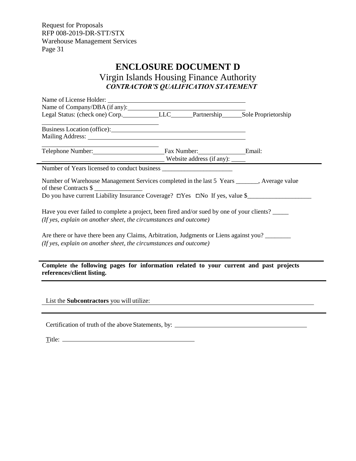### **ENCLOSURE DOCUMENT D**

<span id="page-33-0"></span>Virgin Islands Housing Finance Authority *CONTRACTOR'S QUALIFICATION STATEMENT*

| Legal Status: (check one) Corp. LLC____Partnership Sole Proprietorship                                                                                                                                                         |                                                                                        |  |
|--------------------------------------------------------------------------------------------------------------------------------------------------------------------------------------------------------------------------------|----------------------------------------------------------------------------------------|--|
|                                                                                                                                                                                                                                |                                                                                        |  |
| Mailing Address: National Address: National Address: National Address: National Address: National Address: National Address: National Address: National Address: National Address: National Address: National Address: Nationa |                                                                                        |  |
| the contract of the contract of the contract of the contract of the<br>Telephone Number: Email: Fax Number: Email:                                                                                                             |                                                                                        |  |
|                                                                                                                                                                                                                                |                                                                                        |  |
| Number of Warehouse Management Services completed in the last 5 Years _______, Average value<br>of these Contracts \$                                                                                                          |                                                                                        |  |
| Do you have current Liability Insurance Coverage? □Yes □No If yes, value \$                                                                                                                                                    |                                                                                        |  |
| Have you ever failed to complete a project, been fired and/or sued by one of your clients?<br>(If yes, explain on another sheet, the circumstances and outcome)                                                                |                                                                                        |  |
| Are there or have there been any Claims, Arbitration, Judgments or Liens against you?                                                                                                                                          |                                                                                        |  |
| (If yes, explain on another sheet, the circumstances and outcome)                                                                                                                                                              |                                                                                        |  |
|                                                                                                                                                                                                                                | Complete the following pages for information related to your current and past projects |  |

Certification of truth of the above Statements, by:

Title: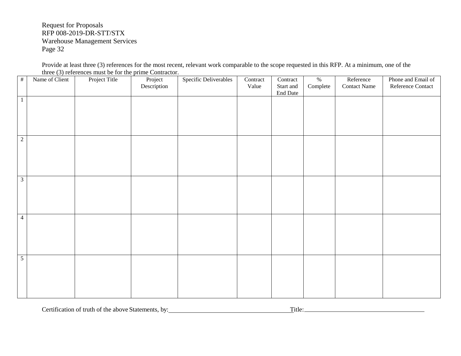Provide at least three (3) references for the most recent, relevant work comparable to the scope requested in this RFP. At a minimum, one of the three (3) references must be for the prime Contractor.

| $\#$           | Name of Client | Project Title | Project<br>Description | Specific Deliverables | Contract<br>Value | Contract<br>Start and<br>End Date | $\%$<br>$\textbf{Complete} \quad % \begin{minipage}[b]{0.9\linewidth} \centering \begin{tabular}{lcccc} \toprule \textbf{1} & \textbf{1} & \textbf{1} & \textbf{1} & \textbf{1} & \textbf{1} & \textbf{1} & \textbf{1} & \textbf{1} & \textbf{1} & \textbf{1} & \textbf{1} & \textbf{1} & \textbf{1} & \textbf{1} & \textbf{1} & \textbf{1} & \textbf{1} & \textbf{1} & \textbf{1} & \textbf{1} & \textbf{1} & \textbf{1} & \textbf{1} & \textbf{1} & \textbf{1}$ | Reference<br><b>Contact Name</b> | Phone and Email of<br>Reference Contact |
|----------------|----------------|---------------|------------------------|-----------------------|-------------------|-----------------------------------|-------------------------------------------------------------------------------------------------------------------------------------------------------------------------------------------------------------------------------------------------------------------------------------------------------------------------------------------------------------------------------------------------------------------------------------------------------------------|----------------------------------|-----------------------------------------|
| $\mathbf{1}$   |                |               |                        |                       |                   |                                   |                                                                                                                                                                                                                                                                                                                                                                                                                                                                   |                                  |                                         |
| $\sqrt{2}$     |                |               |                        |                       |                   |                                   |                                                                                                                                                                                                                                                                                                                                                                                                                                                                   |                                  |                                         |
| $\mathfrak{Z}$ |                |               |                        |                       |                   |                                   |                                                                                                                                                                                                                                                                                                                                                                                                                                                                   |                                  |                                         |
| $\overline{4}$ |                |               |                        |                       |                   |                                   |                                                                                                                                                                                                                                                                                                                                                                                                                                                                   |                                  |                                         |
| $\overline{5}$ |                |               |                        |                       |                   |                                   |                                                                                                                                                                                                                                                                                                                                                                                                                                                                   |                                  |                                         |

Certification of truth of the above Statements, by: Title: Title: Title: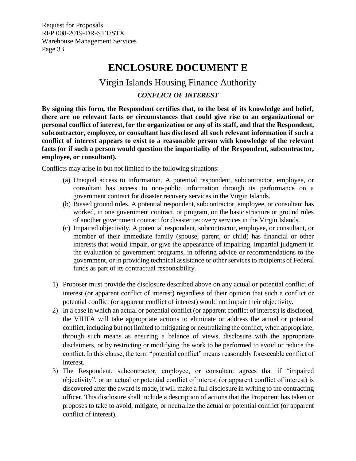# **ENCLOSURE DOCUMENT E**

### Virgin Islands Housing Finance Authority

### *CONFLICT OF INTEREST*

<span id="page-35-0"></span>**By signing this form, the Respondent certifies that, to the best of its knowledge and belief, there are no relevant facts or circumstances that could give rise to an organizational or personal conflict of interest, for the organization or any of its staff, and that the Respondent, subcontractor, employee, or consultant has disclosed all such relevant information if such a conflict of interest appears to exist to a reasonable person with knowledge of the relevant facts (or if such a person would question the impartiality of the Respondent, subcontractor, employee, or consultant).**

Conflicts may arise in but not limited to the following situations:

- (a) Unequal access to information. A potential respondent, subcontractor, employee, or consultant has access to non-public information through its performance on a government contract for disaster recovery services in the Virgin Islands.
- (b) Biased ground rules. A potential respondent, subcontractor, employee, or consultant has worked, in one government contract, or program, on the basic structure or ground rules of another government contract for disaster recovery services in the Virgin Islands.
- (c) Impaired objectivity. A potential respondent, subcontractor, employee, or consultant, or member of their immediate family (spouse, parent, or child) has financial or other interests that would impair, or give the appearance of impairing, impartial judgment in the evaluation of government programs, in offering advice or recommendations to the government, or in providing technical assistance or other services to recipients of Federal funds as part of its contractual responsibility.
- 1) Proposer must provide the disclosure described above on any actual or potential conflict of interest (or apparent conflict of interest) regardless of their opinion that such a conflict or potential conflict (or apparent conflict of interest) would not impair their objectivity.
- 2) In a case in which an actual or potential conflict (or apparent conflict of interest) is disclosed, the VIHFA will take appropriate actions to eliminate or address the actual or potential conflict, including but not limited to mitigating or neutralizing the conflict, when appropriate, through such means as ensuring a balance of views, disclosure with the appropriate disclaimers, or by restricting or modifying the work to be performed to avoid or reduce the conflict. In this clause, the term "potential conflict" means reasonably foreseeable conflict of interest.
- 3) The Respondent, subcontractor, employee, or consultant agrees that if "impaired objectivity", or an actual or potential conflict of interest (or apparent conflict of interest) is discovered after the award is made, it will make a full disclosure in writing to the contracting officer. This disclosure shall include a description of actions that the Proponent has taken or proposes to take to avoid, mitigate, or neutralize the actual or potential conflict (or apparent conflict of interest).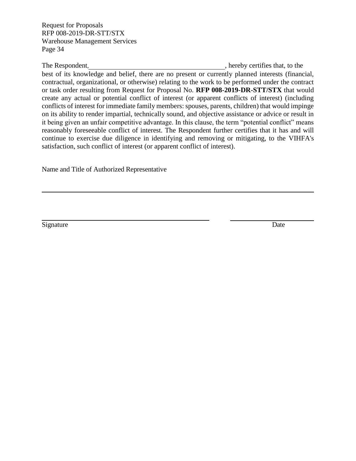The Respondent,  $\blacksquare$ , hereby certifies that, to the best of its knowledge and belief, there are no present or currently planned interests (financial, contractual, organizational, or otherwise) relating to the work to be performed under the contract or task order resulting from Request for Proposal No. **RFP 008-2019-DR-STT/STX** that would create any actual or potential conflict of interest (or apparent conflicts of interest) (including conflicts of interest for immediate family members: spouses, parents, children) that would impinge on its ability to render impartial, technically sound, and objective assistance or advice or result in it being given an unfair competitive advantage. In this clause, the term "potential conflict" means reasonably foreseeable conflict of interest. The Respondent further certifies that it has and will continue to exercise due diligence in identifying and removing or mitigating, to the VIHFA's satisfaction, such conflict of interest (or apparent conflict of interest).

Name and Title of Authorized Representative

Signature Date by Date Date of the United States of the United States of the United States of the United States of the United States of the United States of the United States of the United States of the United States of th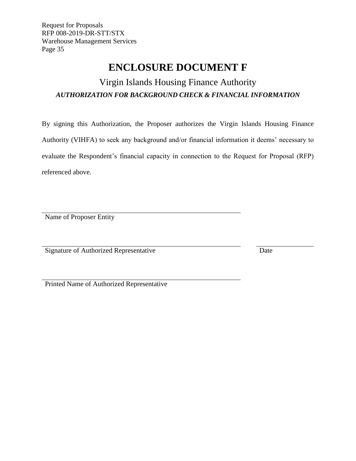# **ENCLOSURE DOCUMENT F**

# <span id="page-37-0"></span>Virgin Islands Housing Finance Authority *AUTHORIZATION FOR BACKGROUND CHECK & FINANCIAL INFORMATION*

By signing this Authorization, the Proposer authorizes the Virgin Islands Housing Finance Authority (VIHFA) to seek any background and/or financial information it deems' necessary to evaluate the Respondent's financial capacity in connection to the Request for Proposal (RFP) referenced above.

Name of Proposer Entity

Signature of Authorized Representative Date

Printed Name of Authorized Representative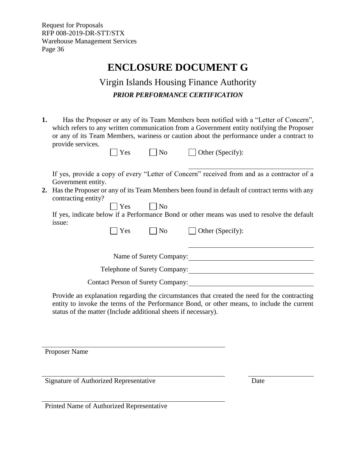# **ENCLOSURE DOCUMENT G**

# Virgin Islands Housing Finance Authority *PRIOR PERFORMANCE CERTIFICATION*

<span id="page-38-0"></span>**1.** Has the Proposer or any of its Team Members been notified with a "Letter of Concern", which refers to any written communication from a Government entity notifying the Proposer or any of its Team Members, wariness or caution about the performance under a contract to provide services.

| $\Box$ Yes | $\Box$ No | $\Box$ Other (Specify): |
|------------|-----------|-------------------------|
|            |           |                         |

If yes, provide a copy of every "Letter of Concern" received from and as a contractor of a Government entity.

**2.** Has the Proposer or any of its Team Members been found in default of contract terms with any contracting entity?

 $\Box$  Yes  $\Box$  No If yes, indicate below if a Performance Bond or other means was used to resolve the default issue:

 $\bigcap$  Yes  $\bigcap$  No  $\bigcap$  Other (Specify):

Name of Surety Company: 1988 1999

Telephone of Surety Company:

Contact Person of Surety Company:

Provide an explanation regarding the circumstances that created the need for the contracting entity to invoke the terms of the Performance Bond, or other means, to include the current status of the matter (Include additional sheets if necessary).

Proposer Name

Signature of Authorized Representative Date

Printed Name of Authorized Representative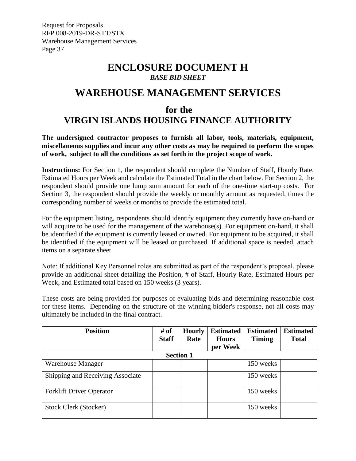### **ENCLOSURE DOCUMENT H** *BASE BID SHEET*

## <span id="page-39-0"></span>**WAREHOUSE MANAGEMENT SERVICES**

# **for the VIRGIN ISLANDS HOUSING FINANCE AUTHORITY**

**The undersigned contractor proposes to furnish all labor, tools, materials, equipment, miscellaneous supplies and incur any other costs as may be required to perform the scopes of work, subject to all the conditions as set forth in the project scope of work.**

**Instructions:** For Section 1, the respondent should complete the Number of Staff, Hourly Rate, Estimated Hours per Week and calculate the Estimated Total in the chart below. For Section 2, the respondent should provide one lump sum amount for each of the one-time start-up costs.For Section 3, the respondent should provide the weekly or monthly amount as requested, times the corresponding number of weeks or months to provide the estimated total.

For the equipment listing, respondents should identify equipment they currently have on-hand or will acquire to be used for the management of the warehouse(s). For equipment on-hand, it shall be identified if the equipment is currently leased or owned. For equipment to be acquired, it shall be identified if the equipment will be leased or purchased. If additional space is needed, attach items on a separate sheet.

Note: If additional Key Personnel roles are submitted as part of the respondent's proposal, please provide an additional sheet detailing the Position, # of Staff, Hourly Rate, Estimated Hours per Week, and Estimated total based on 150 weeks (3 years).

These costs are being provided for purposes of evaluating bids and determining reasonable cost for these items. Depending on the structure of the winning bidder's response, not all costs may ultimately be included in the final contract.

| <b>Position</b>                  | # of<br><b>Staff</b> | <b>Hourly</b><br>Rate | <b>Estimated</b><br><b>Hours</b> | <b>Estimated</b><br><b>Timing</b> | <b>Estimated</b><br><b>Total</b> |
|----------------------------------|----------------------|-----------------------|----------------------------------|-----------------------------------|----------------------------------|
|                                  |                      |                       | per Week                         |                                   |                                  |
| <b>Section 1</b>                 |                      |                       |                                  |                                   |                                  |
| <b>Warehouse Manager</b>         |                      |                       |                                  | 150 weeks                         |                                  |
| Shipping and Receiving Associate |                      |                       |                                  | 150 weeks                         |                                  |
| <b>Forklift Driver Operator</b>  |                      |                       |                                  | 150 weeks                         |                                  |
| <b>Stock Clerk (Stocker)</b>     |                      |                       |                                  | 150 weeks                         |                                  |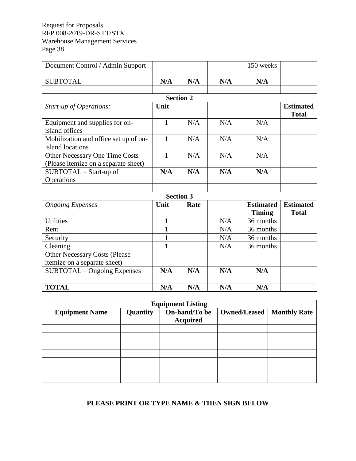| Document Control / Admin Support                          |                  |      |     | 150 weeks                         |                                  |  |  |
|-----------------------------------------------------------|------------------|------|-----|-----------------------------------|----------------------------------|--|--|
| <b>SUBTOTAL</b>                                           | N/A              | N/A  | N/A | N/A                               |                                  |  |  |
|                                                           |                  |      |     |                                   |                                  |  |  |
|                                                           | <b>Section 2</b> |      |     |                                   |                                  |  |  |
| Start-up of Operations:                                   | Unit             |      |     |                                   | <b>Estimated</b><br><b>Total</b> |  |  |
| Equipment and supplies for on-<br>island offices          | $\mathbf{1}$     | N/A  | N/A | N/A                               |                                  |  |  |
| Mobilization and office set up of on-<br>island locations | $\mathbf{1}$     | N/A  | N/A | N/A                               |                                  |  |  |
| Other Necessary One Time Costs                            | $\mathbf{1}$     | N/A  | N/A | N/A                               |                                  |  |  |
| (Please itemize on a separate sheet)                      |                  |      |     |                                   |                                  |  |  |
| SUBTOTAL - Start-up of                                    | N/A              | N/A  | N/A | N/A                               |                                  |  |  |
| Operations                                                |                  |      |     |                                   |                                  |  |  |
|                                                           |                  |      |     |                                   |                                  |  |  |
| <b>Section 3</b>                                          |                  |      |     |                                   |                                  |  |  |
| <b>Ongoing Expenses</b>                                   | Unit             | Rate |     | <b>Estimated</b><br><b>Timing</b> | <b>Estimated</b><br><b>Total</b> |  |  |
| <b>Utilities</b>                                          | 1                |      | N/A | 36 months                         |                                  |  |  |
| Rent                                                      | 1                |      | N/A | 36 months                         |                                  |  |  |
| Security                                                  | $\mathbf{1}$     |      | N/A | 36 months                         |                                  |  |  |
| Cleaning                                                  |                  |      | N/A | 36 months                         |                                  |  |  |
| Other Necessary Costs (Please                             |                  |      |     |                                   |                                  |  |  |
| itemize on a separate sheet)                              |                  |      |     |                                   |                                  |  |  |
| SUBTOTAL – Ongoing Expenses                               | N/A              | N/A  | N/A | N/A                               |                                  |  |  |
|                                                           |                  |      |     |                                   |                                  |  |  |
| <b>TOTAL</b>                                              | N/A              | N/A  | N/A | N/A                               |                                  |  |  |

| <b>Equipment Listing</b> |          |                                  |              |                     |  |  |
|--------------------------|----------|----------------------------------|--------------|---------------------|--|--|
| <b>Equipment Name</b>    | Quantity | On-hand/To be<br><b>Acquired</b> | Owned/Leased | <b>Monthly Rate</b> |  |  |
|                          |          |                                  |              |                     |  |  |
|                          |          |                                  |              |                     |  |  |
|                          |          |                                  |              |                     |  |  |
|                          |          |                                  |              |                     |  |  |
|                          |          |                                  |              |                     |  |  |
|                          |          |                                  |              |                     |  |  |
|                          |          |                                  |              |                     |  |  |

### **PLEASE PRINT OR TYPE NAME & THEN SIGN BELOW**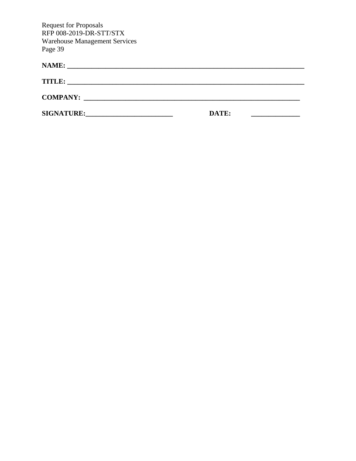| <b>NAME:</b>                                                                                                                           |       |
|----------------------------------------------------------------------------------------------------------------------------------------|-------|
| <b>TITLE:</b><br><u> 1989 - Johann Stoff, deutscher Stoff, der Stoff, der Stoff, der Stoff, der Stoff, der Stoff, der Stoff, der S</u> |       |
|                                                                                                                                        |       |
| <b>SIGNATURE:</b>                                                                                                                      | DATE: |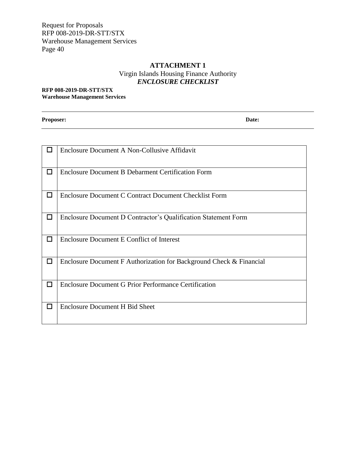### **ATTACHMENT 1** Virgin Islands Housing Finance Authority *ENCLOSURE CHECKLIST*

#### <span id="page-42-0"></span>**RFP 008-2019-DR-STT/STX Warehouse Management Services**

**Proposer: Date:**

|        | Enclosure Document A Non-Collusive Affidavit                        |
|--------|---------------------------------------------------------------------|
| $\Box$ | <b>Enclosure Document B Debarment Certification Form</b>            |
| □      | <b>Enclosure Document C Contract Document Checklist Form</b>        |
| $\Box$ | Enclosure Document D Contractor's Qualification Statement Form      |
| □      | <b>Enclosure Document E Conflict of Interest</b>                    |
| $\Box$ | Enclosure Document F Authorization for Background Check & Financial |
| П      | <b>Enclosure Document G Prior Performance Certification</b>         |
| □      | <b>Enclosure Document H Bid Sheet</b>                               |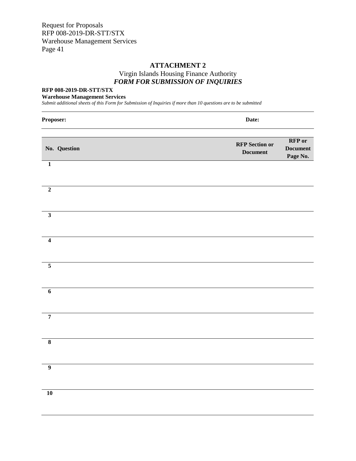### **ATTACHMENT 2** Virgin Islands Housing Finance Authority *FORM FOR SUBMISSION OF INQUIRIES*

#### <span id="page-43-0"></span>**RFP 008-2019-DR-STT/STX**

#### **Warehouse Management Services**

*Submit additional sheets of this Form for Submission of Inquiries if more than 10 questions are to be submitted*

| Proposer:               | Date:                                    |                                              |
|-------------------------|------------------------------------------|----------------------------------------------|
| No. Question            | <b>RFP</b> Section or<br><b>Document</b> | <b>RFP</b> or<br><b>Document</b><br>Page No. |
| $\overline{\mathbf{1}}$ |                                          |                                              |
| $\mathbf 2$             |                                          |                                              |
| $\overline{\mathbf{3}}$ |                                          |                                              |
| $\overline{4}$          |                                          |                                              |
| $\overline{\mathbf{5}}$ |                                          |                                              |
| $\overline{6}$          |                                          |                                              |
| $\overline{7}$          |                                          |                                              |
| $\overline{\mathbf{8}}$ |                                          |                                              |
| $\overline{9}$          |                                          |                                              |
| $\overline{10}$         |                                          |                                              |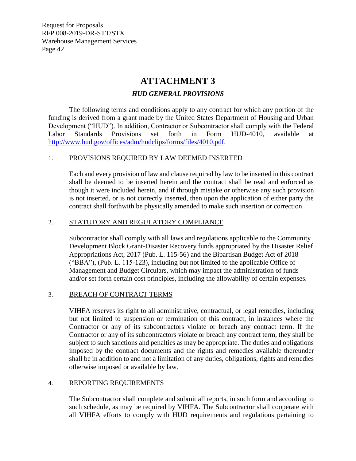### **ATTACHMENT 3**

#### *HUD GENERAL PROVISIONS*

<span id="page-44-0"></span>The following terms and conditions apply to any contract for which any portion of the funding is derived from a grant made by the United States Department of Housing and Urban Development ("HUD"). In addition, Contractor or Subcontractor shall comply with the Federal Labor Standards Provisions set forth in Form HUD-4010, available at [http://www.hud.gov/offices/adm/hudclips/forms/files/4010.pdf.](http://www.hud.gov/offices/adm/hudclips/forms/files/4010.pdf)

#### 1. PROVISIONS REQUIRED BY LAW DEEMED INSERTED

Each and every provision of law and clause required by law to be inserted in this contract shall be deemed to be inserted herein and the contract shall be read and enforced as though it were included herein, and if through mistake or otherwise any such provision is not inserted, or is not correctly inserted, then upon the application of either party the contract shall forthwith be physically amended to make such insertion or correction.

#### 2. STATUTORY AND REGULATORY COMPLIANCE

Subcontractor shall comply with all laws and regulations applicable to the Community Development Block Grant-Disaster Recovery funds appropriated by the Disaster Relief Appropriations Act, 2017 (Pub. L. 115-56) and the Bipartisan Budget Act of 2018 ("BBA"), (Pub. L. 115-123), including but not limited to the applicable Office of Management and Budget Circulars, which may impact the administration of funds and/or set forth certain cost principles, including the allowability of certain expenses.

#### 3. BREACH OF CONTRACT TERMS

VIHFA reserves its right to all administrative, contractual, or legal remedies, including but not limited to suspension or termination of this contract, in instances where the Contractor or any of its subcontractors violate or breach any contract term. If the Contractor or any of its subcontractors violate or breach any contract term, they shall be subject to such sanctions and penalties as may be appropriate. The duties and obligations imposed by the contract documents and the rights and remedies available thereunder shall be in addition to and not a limitation of any duties, obligations, rights and remedies otherwise imposed or available by law.

#### 4. REPORTING REQUIREMENTS

The Subcontractor shall complete and submit all reports, in such form and according to such schedule, as may be required by VIHFA. The Subcontractor shall cooperate with all VIHFA efforts to comply with HUD requirements and regulations pertaining to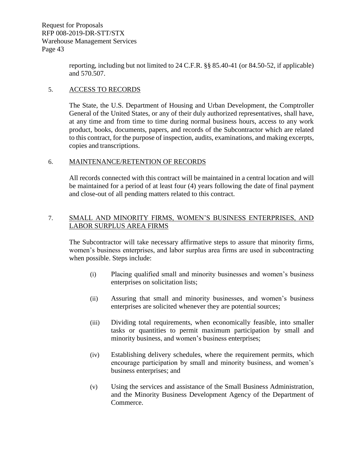> reporting, including but not limited to 24 C.F.R. §§ 85.40-41 (or 84.50-52, if applicable) and 570.507.

#### 5. ACCESS TO RECORDS

The State, the U.S. Department of Housing and Urban Development, the Comptroller General of the United States, or any of their duly authorized representatives, shall have, at any time and from time to time during normal business hours, access to any work product, books, documents, papers, and records of the Subcontractor which are related to this contract, for the purpose of inspection, audits, examinations, and making excerpts, copies and transcriptions.

#### 6. MAINTENANCE/RETENTION OF RECORDS

All records connected with this contract will be maintained in a central location and will be maintained for a period of at least four (4) years following the date of final payment and close-out of all pending matters related to this contract.

#### 7. SMALL AND MINORITY FIRMS, WOMEN'S BUSINESS ENTERPRISES, AND LABOR SURPLUS AREA FIRMS

The Subcontractor will take necessary affirmative steps to assure that minority firms, women's business enterprises, and labor surplus area firms are used in subcontracting when possible. Steps include:

- (i) Placing qualified small and minority businesses and women's business enterprises on solicitation lists;
- (ii) Assuring that small and minority businesses, and women's business enterprises are solicited whenever they are potential sources;
- (iii) Dividing total requirements, when economically feasible, into smaller tasks or quantities to permit maximum participation by small and minority business, and women's business enterprises;
- (iv) Establishing delivery schedules, where the requirement permits, which encourage participation by small and minority business, and women's business enterprises; and
- (v) Using the services and assistance of the Small Business Administration, and the Minority Business Development Agency of the Department of Commerce.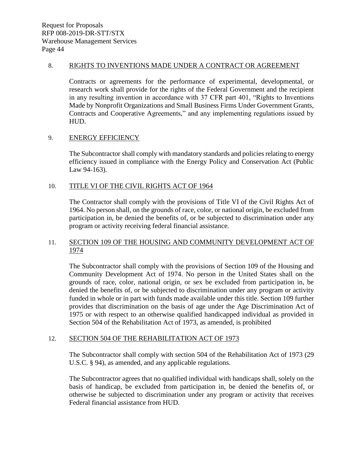#### 8. RIGHTS TO INVENTIONS MADE UNDER A CONTRACT OR AGREEMENT

Contracts or agreements for the performance of experimental, developmental, or research work shall provide for the rights of the Federal Government and the recipient in any resulting invention in accordance with 37 CFR part 401, "Rights to Inventions Made by Nonprofit Organizations and Small Business Firms Under Government Grants, Contracts and Cooperative Agreements," and any implementing regulations issued by HUD.

#### 9. ENERGY EFFICIENCY

The Subcontractor shall comply with mandatory standards and policies relating to energy efficiency issued in compliance with the Energy Policy and Conservation Act (Public Law 94-163).

#### 10. TITLE VI OF THE CIVIL RIGHTS ACT OF 1964

The Contractor shall comply with the provisions of Title VI of the Civil Rights Act of 1964. No person shall, on the grounds of race, color, or national origin, be excluded from participation in, be denied the benefits of, or be subjected to discrimination under any program or activity receiving federal financial assistance.

#### 11. SECTION 109 OF THE HOUSING AND COMMUNITY DEVELOPMENT ACT OF 1974

The Subcontractor shall comply with the provisions of Section 109 of the Housing and Community Development Act of 1974. No person in the United States shall on the grounds of race, color, national origin, or sex be excluded from participation in, be denied the benefits of, or be subjected to discrimination under any program or activity funded in whole or in part with funds made available under this title. Section 109 further provides that discrimination on the basis of age under the Age Discrimination Act of 1975 or with respect to an otherwise qualified handicapped individual as provided in Section 504 of the Rehabilitation Act of 1973, as amended, is prohibited

#### 12. SECTION 504 OF THE REHABILITATION ACT OF 1973

The Subcontractor shall comply with section 504 of the Rehabilitation Act of 1973 (29 U.S.C. § 94), as amended, and any applicable regulations.

The Subcontractor agrees that no qualified individual with handicaps shall, solely on the basis of handicap, be excluded from participation in, be denied the benefits of, or otherwise be subjected to discrimination under any program or activity that receives Federal financial assistance from HUD.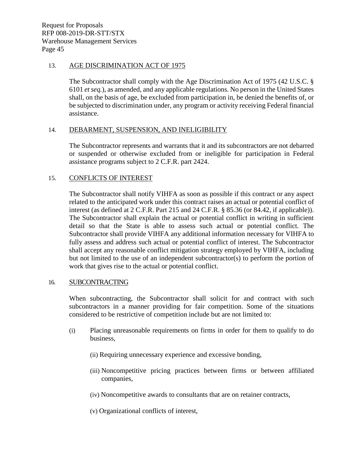#### 13. AGE DISCRIMINATION ACT OF 1975

The Subcontractor shall comply with the Age Discrimination Act of 1975 (42 U.S.C. § 6101 *et seq.*), as amended, and any applicable regulations. No person in the United States shall, on the basis of age, be excluded from participation in, be denied the benefits of, or be subjected to discrimination under, any program or activity receiving Federal financial assistance.

#### 14. DEBARMENT, SUSPENSION, AND INELIGIBILITY

The Subcontractor represents and warrants that it and its subcontractors are not debarred or suspended or otherwise excluded from or ineligible for participation in Federal assistance programs subject to 2 C.F.R. part 2424.

#### 15. CONFLICTS OF INTEREST

The Subcontractor shall notify VIHFA as soon as possible if this contract or any aspect related to the anticipated work under this contract raises an actual or potential conflict of interest (as defined at 2 C.F.R. Part 215 and 24 C.F.R. § 85.36 (or 84.42, if applicable)). The Subcontractor shall explain the actual or potential conflict in writing in sufficient detail so that the State is able to assess such actual or potential conflict. The Subcontractor shall provide VIHFA any additional information necessary for VIHFA to fully assess and address such actual or potential conflict of interest. The Subcontractor shall accept any reasonable conflict mitigation strategy employed by VIHFA, including but not limited to the use of an independent subcontractor(s) to perform the portion of work that gives rise to the actual or potential conflict.

#### 16. SUBCONTRACTING

When subcontracting, the Subcontractor shall solicit for and contract with such subcontractors in a manner providing for fair competition. Some of the situations considered to be restrictive of competition include but are not limited to:

- (i) Placing unreasonable requirements on firms in order for them to qualify to do business,
	- (ii) Requiring unnecessary experience and excessive bonding,
	- (iii) Noncompetitive pricing practices between firms or between affiliated companies,
	- (iv) Noncompetitive awards to consultants that are on retainer contracts,
	- (v) Organizational conflicts of interest,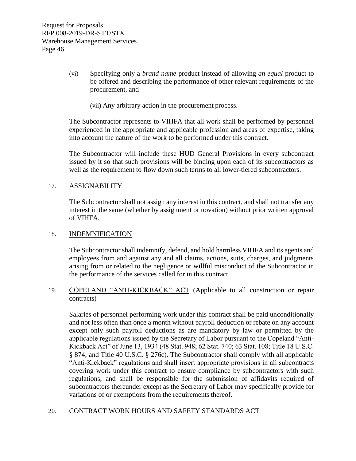- (vi) Specifying only a *brand name* product instead of allowing *an equal* product to be offered and describing the performance of other relevant requirements of the procurement, and
	- (vii) Any arbitrary action in the procurement process.

The Subcontractor represents to VIHFA that all work shall be performed by personnel experienced in the appropriate and applicable profession and areas of expertise, taking into account the nature of the work to be performed under this contract.

The Subcontractor will include these HUD General Provisions in every subcontract issued by it so that such provisions will be binding upon each of its subcontractors as well as the requirement to flow down such terms to all lower-tiered subcontractors.

#### 17. ASSIGNABILITY

The Subcontractor shall not assign any interest in this contract, and shall not transfer any interest in the same (whether by assignment or novation) without prior written approval of VIHFA.

#### 18. INDEMNIFICATION

The Subcontractor shall indemnify, defend, and hold harmless VIHFA and its agents and employees from and against any and all claims, actions, suits, charges, and judgments arising from or related to the negligence or willful misconduct of the Subcontractor in the performance of the services called for in this contract.

19. COPELAND "ANTI-KICKBACK" ACT (Applicable to all construction or repair contracts)

Salaries of personnel performing work under this contract shall be paid unconditionally and not less often than once a month without payroll deduction or rebate on any account except only such payroll deductions as are mandatory by law or permitted by the applicable regulations issued by the Secretary of Labor pursuant to the Copeland "Anti-Kickback Act" of June 13, 1934 (48 Stat. 948; 62 Stat. 740; 63 Stat. 108; Title 18 U.S.C. § 874; and Title 40 U.S.C. § 276c). The Subcontractor shall comply with all applicable "Anti-Kickback" regulations and shall insert appropriate provisions in all subcontracts covering work under this contract to ensure compliance by subcontractors with such regulations, and shall be responsible for the submission of affidavits required of subcontractors thereunder except as the Secretary of Labor may specifically provide for variations of or exemptions from the requirements thereof.

#### 20. CONTRACT WORK HOURS AND SAFETY STANDARDS ACT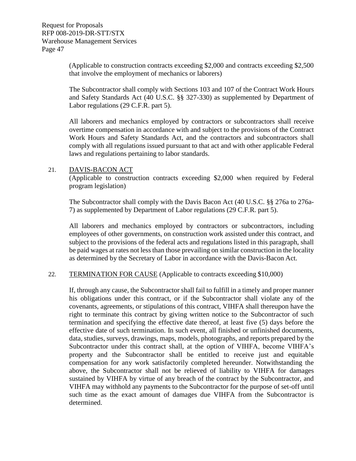(Applicable to construction contracts exceeding \$2,000 and contracts exceeding \$2,500 that involve the employment of mechanics or laborers)

The Subcontractor shall comply with Sections 103 and 107 of the Contract Work Hours and Safety Standards Act (40 U.S.C. §§ 327-330) as supplemented by Department of Labor regulations (29 C.F.R. part 5).

All laborers and mechanics employed by contractors or subcontractors shall receive overtime compensation in accordance with and subject to the provisions of the Contract Work Hours and Safety Standards Act, and the contractors and subcontractors shall comply with all regulations issued pursuant to that act and with other applicable Federal laws and regulations pertaining to labor standards.

#### 21. DAVIS-BACON ACT

(Applicable to construction contracts exceeding \$2,000 when required by Federal program legislation)

The Subcontractor shall comply with the Davis Bacon Act (40 U.S.C. §§ 276a to 276a-7) as supplemented by Department of Labor regulations (29 C.F.R. part 5).

All laborers and mechanics employed by contractors or subcontractors, including employees of other governments, on construction work assisted under this contract, and subject to the provisions of the federal acts and regulations listed in this paragraph, shall be paid wages at rates not less than those prevailing on similar construction in the locality as determined by the Secretary of Labor in accordance with the Davis-Bacon Act.

#### 22. TERMINATION FOR CAUSE (Applicable to contracts exceeding \$10,000)

If, through any cause, the Subcontractor shall fail to fulfill in a timely and proper manner his obligations under this contract, or if the Subcontractor shall violate any of the covenants, agreements, or stipulations of this contract, VIHFA shall thereupon have the right to terminate this contract by giving written notice to the Subcontractor of such termination and specifying the effective date thereof, at least five (5) days before the effective date of such termination. In such event, all finished or unfinished documents, data, studies, surveys, drawings, maps, models, photographs, and reports prepared by the Subcontractor under this contract shall, at the option of VIHFA, become VIHFA's property and the Subcontractor shall be entitled to receive just and equitable compensation for any work satisfactorily completed hereunder. Notwithstanding the above, the Subcontractor shall not be relieved of liability to VIHFA for damages sustained by VIHFA by virtue of any breach of the contract by the Subcontractor, and VIHFA may withhold any payments to the Subcontractor for the purpose of set-off until such time as the exact amount of damages due VIHFA from the Subcontractor is determined.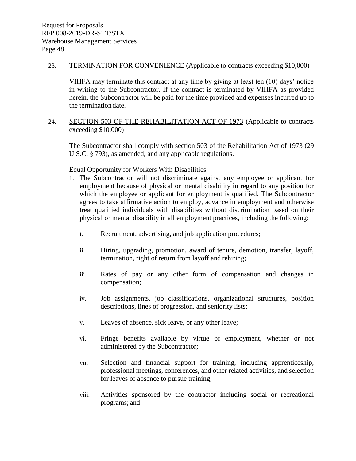23. TERMINATION FOR CONVENIENCE (Applicable to contracts exceeding \$10,000)

VIHFA may terminate this contract at any time by giving at least ten (10) days' notice in writing to the Subcontractor. If the contract is terminated by VIHFA as provided herein, the Subcontractor will be paid for the time provided and expenses incurred up to the termination date.

24. SECTION 503 OF THE REHABILITATION ACT OF 1973 (Applicable to contracts exceeding \$10,000)

The Subcontractor shall comply with section 503 of the Rehabilitation Act of 1973 (29 U.S.C. § 793), as amended, and any applicable regulations.

Equal Opportunity for Workers With Disabilities

- 1. The Subcontractor will not discriminate against any employee or applicant for employment because of physical or mental disability in regard to any position for which the employee or applicant for employment is qualified. The Subcontractor agrees to take affirmative action to employ, advance in employment and otherwise treat qualified individuals with disabilities without discrimination based on their physical or mental disability in all employment practices, including the following:
	- i. Recruitment, advertising, and job application procedures;
	- ii. Hiring, upgrading, promotion, award of tenure, demotion, transfer, layoff, termination, right of return from layoff and rehiring;
	- iii. Rates of pay or any other form of compensation and changes in compensation;
	- iv. Job assignments, job classifications, organizational structures, position descriptions, lines of progression, and seniority lists;
	- v. Leaves of absence, sick leave, or any other leave;
	- vi. Fringe benefits available by virtue of employment, whether or not administered by the Subcontractor;
	- vii. Selection and financial support for training, including apprenticeship, professional meetings, conferences, and other related activities, and selection for leaves of absence to pursue training;
	- viii. Activities sponsored by the contractor including social or recreational programs; and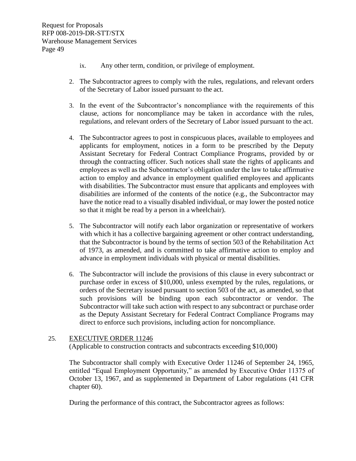- ix. Any other term, condition, or privilege of employment.
- 2. The Subcontractor agrees to comply with the rules, regulations, and relevant orders of the Secretary of Labor issued pursuant to the act.
- 3. In the event of the Subcontractor's noncompliance with the requirements of this clause, actions for noncompliance may be taken in accordance with the rules, regulations, and relevant orders of the Secretary of Labor issued pursuant to the act.
- 4. The Subcontractor agrees to post in conspicuous places, available to employees and applicants for employment, notices in a form to be prescribed by the Deputy Assistant Secretary for Federal Contract Compliance Programs, provided by or through the contracting officer. Such notices shall state the rights of applicants and employees as well as the Subcontractor's obligation under the law to take affirmative action to employ and advance in employment qualified employees and applicants with disabilities. The Subcontractor must ensure that applicants and employees with disabilities are informed of the contents of the notice (e.g., the Subcontractor may have the notice read to a visually disabled individual, or may lower the posted notice so that it might be read by a person in a wheelchair).
- 5. The Subcontractor will notify each labor organization or representative of workers with which it has a collective bargaining agreement or other contract understanding, that the Subcontractor is bound by the terms of section 503 of the Rehabilitation Act of 1973, as amended, and is committed to take affirmative action to employ and advance in employment individuals with physical or mental disabilities.
- 6. The Subcontractor will include the provisions of this clause in every subcontract or purchase order in excess of \$10,000, unless exempted by the rules, regulations, or orders of the Secretary issued pursuant to section 503 of the act, as amended, so that such provisions will be binding upon each subcontractor or vendor. The Subcontractor will take such action with respect to any subcontract or purchase order as the Deputy Assistant Secretary for Federal Contract Compliance Programs may direct to enforce such provisions, including action for noncompliance.

#### 25. EXECUTIVE ORDER 11246

(Applicable to construction contracts and subcontracts exceeding \$10,000)

The Subcontractor shall comply with Executive Order 11246 of September 24, 1965, entitled "Equal Employment Opportunity," as amended by Executive Order 11375 of October 13, 1967, and as supplemented in Department of Labor regulations (41 CFR chapter 60).

During the performance of this contract, the Subcontractor agrees as follows: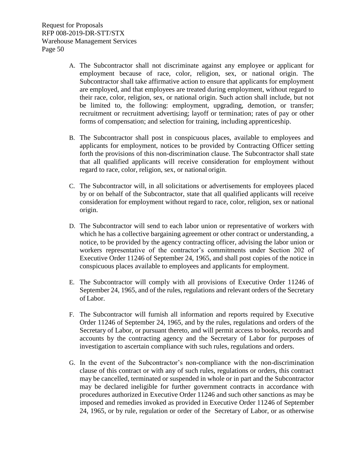- A. The Subcontractor shall not discriminate against any employee or applicant for employment because of race, color, religion, sex, or national origin. The Subcontractor shall take affirmative action to ensure that applicants for employment are employed, and that employees are treated during employment, without regard to their race, color, religion, sex, or national origin. Such action shall include, but not be limited to, the following: employment, upgrading, demotion, or transfer; recruitment or recruitment advertising; layoff or termination; rates of pay or other forms of compensation; and selection for training, including apprenticeship.
- B. The Subcontractor shall post in conspicuous places, available to employees and applicants for employment, notices to be provided by Contracting Officer setting forth the provisions of this non-discrimination clause. The Subcontractor shall state that all qualified applicants will receive consideration for employment without regard to race, color, religion, sex, or national origin.
- C. The Subcontractor will, in all solicitations or advertisements for employees placed by or on behalf of the Subcontractor, state that all qualified applicants will receive consideration for employment without regard to race, color, religion, sex or national origin.
- D. The Subcontractor will send to each labor union or representative of workers with which he has a collective bargaining agreement or other contract or understanding, a notice, to be provided by the agency contracting officer, advising the labor union or workers representative of the contractor's commitments under Section 202 of Executive Order 11246 of September 24, 1965, and shall post copies of the notice in conspicuous places available to employees and applicants for employment.
- E. The Subcontractor will comply with all provisions of Executive Order 11246 of September 24, 1965, and of the rules, regulations and relevant orders of the Secretary of Labor.
- F. The Subcontractor will furnish all information and reports required by Executive Order 11246 of September 24, 1965, and by the rules, regulations and orders of the Secretary of Labor, or pursuant thereto, and will permit access to books, records and accounts by the contracting agency and the Secretary of Labor for purposes of investigation to ascertain compliance with such rules, regulations and orders.
- G. In the event of the Subcontractor's non-compliance with the non-discrimination clause of this contract or with any of such rules, regulations or orders, this contract may be cancelled, terminated or suspended in whole or in part and the Subcontractor may be declared ineligible for further government contracts in accordance with procedures authorized in Executive Order 11246 and such other sanctions as may be imposed and remedies invoked as provided in Executive Order 11246 of September 24, 1965, or by rule, regulation or order of the Secretary of Labor, or as otherwise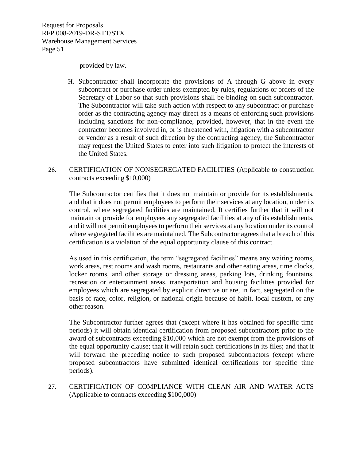provided by law.

H. Subcontractor shall incorporate the provisions of A through G above in every subcontract or purchase order unless exempted by rules, regulations or orders of the Secretary of Labor so that such provisions shall be binding on such subcontractor. The Subcontractor will take such action with respect to any subcontract or purchase order as the contracting agency may direct as a means of enforcing such provisions including sanctions for non-compliance, provided, however, that in the event the contractor becomes involved in, or is threatened with, litigation with a subcontractor or vendor as a result of such direction by the contracting agency, the Subcontractor may request the United States to enter into such litigation to protect the interests of the United States.

#### 26. CERTIFICATION OF NONSEGREGATED FACILITIES (Applicable to construction contracts exceeding \$10,000)

The Subcontractor certifies that it does not maintain or provide for its establishments, and that it does not permit employees to perform their services at any location, under its control, where segregated facilities are maintained. It certifies further that it will not maintain or provide for employees any segregated facilities at any of its establishments, and it will not permit employees to perform their services at any location under its control where segregated facilities are maintained. The Subcontractor agrees that a breach of this certification is a violation of the equal opportunity clause of this contract.

As used in this certification, the term "segregated facilities" means any waiting rooms, work areas, rest rooms and wash rooms, restaurants and other eating areas, time clocks, locker rooms, and other storage or dressing areas, parking lots, drinking fountains, recreation or entertainment areas, transportation and housing facilities provided for employees which are segregated by explicit directive or are, in fact, segregated on the basis of race, color, religion, or national origin because of habit, local custom, or any other reason.

The Subcontractor further agrees that (except where it has obtained for specific time periods) it will obtain identical certification from proposed subcontractors prior to the award of subcontracts exceeding \$10,000 which are not exempt from the provisions of the equal opportunity clause; that it will retain such certifications in its files; and that it will forward the preceding notice to such proposed subcontractors (except where proposed subcontractors have submitted identical certifications for specific time periods).

27. CERTIFICATION OF COMPLIANCE WITH CLEAN AIR AND WATER ACTS (Applicable to contracts exceeding \$100,000)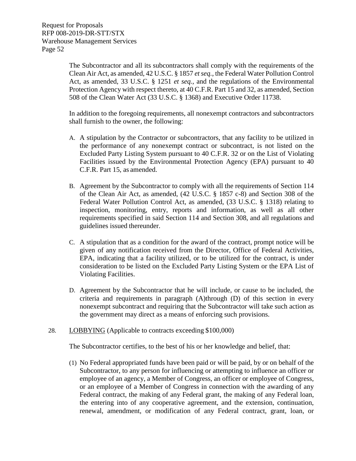The Subcontractor and all its subcontractors shall comply with the requirements of the Clean Air Act, as amended, 42 U.S.C. § 1857 *et seq.*, the Federal Water Pollution Control Act, as amended, 33 U.S.C. § 1251 *et seq.*, and the regulations of the Environmental Protection Agency with respect thereto, at 40 C.F.R. Part 15 and 32, as amended, Section 508 of the Clean Water Act (33 U.S.C. § 1368) and Executive Order 11738.

In addition to the foregoing requirements, all nonexempt contractors and subcontractors shall furnish to the owner, the following:

- A. A stipulation by the Contractor or subcontractors, that any facility to be utilized in the performance of any nonexempt contract or subcontract, is not listed on the Excluded Party Listing System pursuant to 40 C.F.R. 32 or on the List of Violating Facilities issued by the Environmental Protection Agency (EPA) pursuant to 40 C.F.R. Part 15, as amended.
- B. Agreement by the Subcontractor to comply with all the requirements of Section 114 of the Clean Air Act, as amended, (42 U.S.C. § 1857 c-8) and Section 308 of the Federal Water Pollution Control Act, as amended, (33 U.S.C. § 1318) relating to inspection, monitoring, entry, reports and information, as well as all other requirements specified in said Section 114 and Section 308, and all regulations and guidelines issued thereunder.
- C. A stipulation that as a condition for the award of the contract, prompt notice will be given of any notification received from the Director, Office of Federal Activities, EPA, indicating that a facility utilized, or to be utilized for the contract, is under consideration to be listed on the Excluded Party Listing System or the EPA List of Violating Facilities.
- D. Agreement by the Subcontractor that he will include, or cause to be included, the criteria and requirements in paragraph (A)through (D) of this section in every nonexempt subcontract and requiring that the Subcontractor will take such action as the government may direct as a means of enforcing such provisions.
- 28. LOBBYING (Applicable to contracts exceeding \$100,000)

The Subcontractor certifies, to the best of his or her knowledge and belief, that:

(1) No Federal appropriated funds have been paid or will be paid, by or on behalf of the Subcontractor, to any person for influencing or attempting to influence an officer or employee of an agency, a Member of Congress, an officer or employee of Congress, or an employee of a Member of Congress in connection with the awarding of any Federal contract, the making of any Federal grant, the making of any Federal loan, the entering into of any cooperative agreement, and the extension, continuation, renewal, amendment, or modification of any Federal contract, grant, loan, or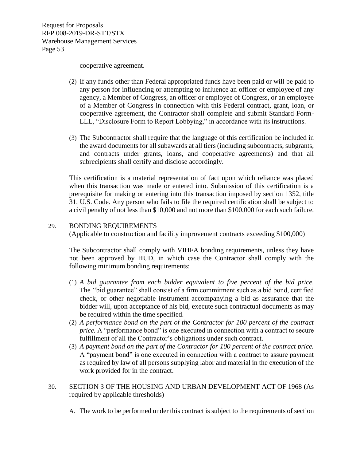cooperative agreement.

- (2) If any funds other than Federal appropriated funds have been paid or will be paid to any person for influencing or attempting to influence an officer or employee of any agency, a Member of Congress, an officer or employee of Congress, or an employee of a Member of Congress in connection with this Federal contract, grant, loan, or cooperative agreement, the Contractor shall complete and submit Standard Form-LLL, "Disclosure Form to Report Lobbying," in accordance with its instructions.
- (3) The Subcontractor shall require that the language of this certification be included in the award documents for all subawards at all tiers (including subcontracts, subgrants, and contracts under grants, loans, and cooperative agreements) and that all subrecipients shall certify and disclose accordingly.

This certification is a material representation of fact upon which reliance was placed when this transaction was made or entered into. Submission of this certification is a prerequisite for making or entering into this transaction imposed by section 1352, title 31, U.S. Code. Any person who fails to file the required certification shall be subject to a civil penalty of not less than \$10,000 and not more than \$100,000 for each such failure.

#### 29. BONDING REQUIREMENTS

(Applicable to construction and facility improvement contracts exceeding \$100,000)

The Subcontractor shall comply with VIHFA bonding requirements, unless they have not been approved by HUD, in which case the Contractor shall comply with the following minimum bonding requirements:

- (1) *A bid guarantee from each bidder equivalent to five percent of the bid price.* The "bid guarantee" shall consist of a firm commitment such as a bid bond, certified check, or other negotiable instrument accompanying a bid as assurance that the bidder will, upon acceptance of his bid, execute such contractual documents as may be required within the time specified.
- (2) *A performance bond on the part of the Contractor for 100 percent of the contract price.* A "performance bond" is one executed in connection with a contract to secure fulfillment of all the Contractor's obligations under such contract.
- (3) *A payment bond on the part of the Contractor for 100 percent of the contract price.*  A "payment bond" is one executed in connection with a contract to assure payment as required by law of all persons supplying labor and material in the execution of the work provided for in the contract.
- 30. SECTION 3 OF THE HOUSING AND URBAN DEVELOPMENT ACT OF 1968 (As required by applicable thresholds)
	- A. The work to be performed under this contract is subject to the requirements of section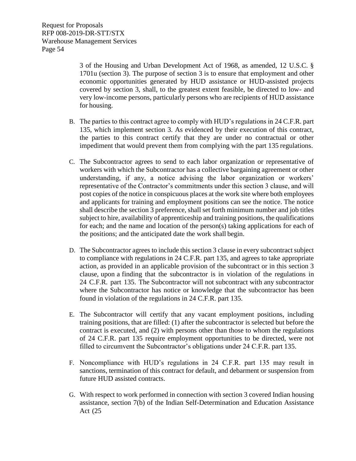3 of the Housing and Urban Development Act of 1968, as amended, 12 U.S.C. § 1701u (section 3). The purpose of section 3 is to ensure that employment and other economic opportunities generated by HUD assistance or HUD-assisted projects covered by section 3, shall, to the greatest extent feasible, be directed to low- and very low-income persons, particularly persons who are recipients of HUD assistance for housing.

- B. The parties to this contract agree to comply with HUD's regulations in 24 C.F.R. part 135, which implement section 3. As evidenced by their execution of this contract, the parties to this contract certify that they are under no contractual or other impediment that would prevent them from complying with the part 135 regulations.
- C. The Subcontractor agrees to send to each labor organization or representative of workers with which the Subcontractor has a collective bargaining agreement or other understanding, if any, a notice advising the labor organization or workers' representative of the Contractor's commitments under this section 3 clause, and will post copies of the notice in conspicuous places at the work site where both employees and applicants for training and employment positions can see the notice. The notice shall describe the section 3 preference, shall set forth minimum number and job titles subject to hire, availability of apprenticeship and training positions, the qualifications for each; and the name and location of the person(s) taking applications for each of the positions; and the anticipated date the work shall begin.
- D. The Subcontractor agrees to include this section 3 clause in every subcontract subject to compliance with regulations in 24 C.F.R. part 135, and agrees to take appropriate action, as provided in an applicable provision of the subcontract or in this section 3 clause, upon a finding that the subcontractor is in violation of the regulations in 24 C.F.R. part 135. The Subcontractor will not subcontract with any subcontractor where the Subcontractor has notice or knowledge that the subcontractor has been found in violation of the regulations in 24 C.F.R. part 135.
- E. The Subcontractor will certify that any vacant employment positions, including training positions, that are filled: (1) after the subcontractor is selected but before the contract is executed, and (2) with persons other than those to whom the regulations of 24 C.F.R. part 135 require employment opportunities to be directed, were not filled to circumvent the Subcontractor's obligations under 24 C.F.R. part 135.
- F. Noncompliance with HUD's regulations in 24 C.F.R. part 135 may result in sanctions, termination of this contract for default, and debarment or suspension from future HUD assisted contracts.
- G. With respect to work performed in connection with section 3 covered Indian housing assistance, section 7(b) of the Indian Self-Determination and Education Assistance Act (25